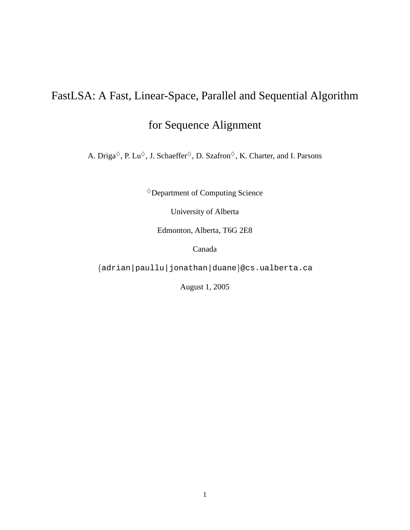# FastLSA: A Fast, Linear-Space, Parallel and Sequential Algorithm

## for Sequence Alignment

A. Driga $\Diamond$ , P. Lu $\Diamond$ , J. Schaeffer $\Diamond$ , D. Szafron $\Diamond$ , K. Charter, and I. Parsons

 $\diamond$ Department of Computing Science

University of Alberta

Edmonton, Alberta, T6G 2E8

Canada

{adrian|paullu|jonathan|duane}@cs.ualberta.ca

August 1, 2005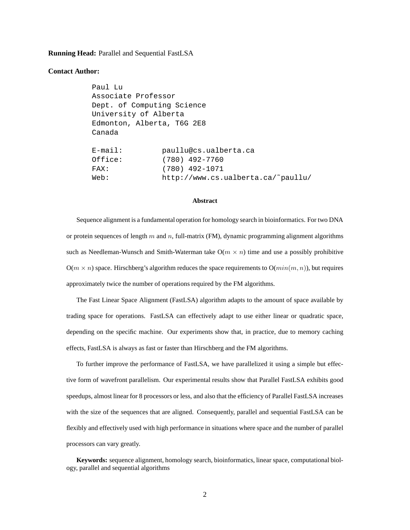#### **Running Head:** Parallel and Sequential FastLSA

#### **Contact Author:**

Paul Lu Associate Professor Dept. of Computing Science University of Alberta Edmonton, Alberta, T6G 2E8 Canada E-mail: paullu@cs.ualberta.ca Office: (780) 492-7760 FAX: (780) 492-1071 Web: http://www.cs.ualberta.ca/~paullu/

#### **Abstract**

Sequence alignment is a fundamental operation for homology search in bioinformatics. For two DNA or protein sequences of length  $m$  and  $n$ , full-matrix (FM), dynamic programming alignment algorithms such as Needleman-Wunsch and Smith-Waterman take  $O(m \times n)$  time and use a possibly prohibitive  $O(m \times n)$  space. Hirschberg's algorithm reduces the space requirements to  $O(min(m, n))$ , but requires approximately twice the number of operations required by the FM algorithms.

The Fast Linear Space Alignment (FastLSA) algorithm adapts to the amount of space available by trading space for operations. FastLSA can effectively adapt to use either linear or quadratic space, depending on the specific machine. Our experiments show that, in practice, due to memory caching effects, FastLSA is always as fast or faster than Hirschberg and the FM algorithms.

To further improve the performance of FastLSA, we have parallelized it using a simple but effective form of wavefront parallelism. Our experimental results show that Parallel FastLSA exhibits good speedups, almost linear for 8 processors or less, and also that the efficiency of Parallel FastLSA increases with the size of the sequences that are aligned. Consequently, parallel and sequential FastLSA can be flexibly and effectively used with high performance in situations where space and the number of parallel processors can vary greatly.

**Keywords:** sequence alignment, homology search, bioinformatics, linear space, computational biology, parallel and sequential algorithms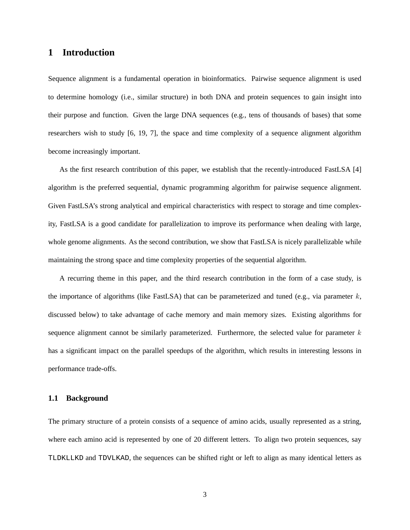## **1 Introduction**

Sequence alignment is a fundamental operation in bioinformatics. Pairwise sequence alignment is used to determine homology (i.e., similar structure) in both DNA and protein sequences to gain insight into their purpose and function. Given the large DNA sequences (e.g., tens of thousands of bases) that some researchers wish to study [6, 19, 7], the space and time complexity of a sequence alignment algorithm become increasingly important.

As the first research contribution of this paper, we establish that the recently-introduced FastLSA [4] algorithm is the preferred sequential, dynamic programming algorithm for pairwise sequence alignment. Given FastLSA's strong analytical and empirical characteristics with respect to storage and time complexity, FastLSA is a good candidate for parallelization to improve its performance when dealing with large, whole genome alignments. As the second contribution, we show that FastLSA is nicely parallelizable while maintaining the strong space and time complexity properties of the sequential algorithm.

A recurring theme in this paper, and the third research contribution in the form of a case study, is the importance of algorithms (like FastLSA) that can be parameterized and tuned (e.g., via parameter  $k$ , discussed below) to take advantage of cache memory and main memory sizes. Existing algorithms for sequence alignment cannot be similarly parameterized. Furthermore, the selected value for parameter  $k$ has a significant impact on the parallel speedups of the algorithm, which results in interesting lessons in performance trade-offs.

#### **1.1 Background**

The primary structure of a protein consists of a sequence of amino acids, usually represented as a string, where each amino acid is represented by one of 20 different letters. To align two protein sequences, say TLDKLLKD and TDVLKAD, the sequences can be shifted right or left to align as many identical letters as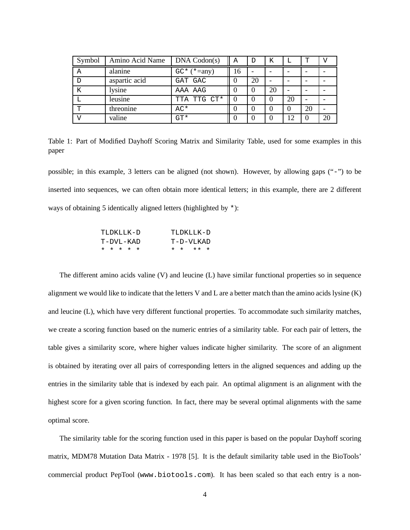| Symbol | Amino Acid Name | $DNA\,$ Codon $(s)$ | A                | D        | K        | ⊥  | Ͳ                        |    |
|--------|-----------------|---------------------|------------------|----------|----------|----|--------------------------|----|
| Α      | alanine         | $GC * (*=any)$      | 16               |          |          |    | $\overline{\phantom{0}}$ |    |
| D      | aspartic acid   | GAT GAC             | U                | 20       |          |    | -                        |    |
| K      | lysine          | AAA AAG             |                  | $\theta$ | 20       |    |                          |    |
|        | leusine         | TTA TTG CT*         | $\left( \right)$ | $\theta$ | $\theta$ | 20 |                          |    |
| т      | threonine       | $AC*$               |                  | $\theta$ | $\theta$ |    | 20                       |    |
|        | valine          | $GT^*$              | 0                | $\theta$ | $\theta$ | 12 | $\left($                 | 20 |

Table 1: Part of Modified Dayhoff Scoring Matrix and Similarity Table, used for some examples in this paper

possible; in this example, 3 letters can be aligned (not shown). However, by allowing gaps ("-") to be inserted into sequences, we can often obtain more identical letters; in this example, there are 2 different ways of obtaining 5 identically aligned letters (highlighted by  $\star$ ):

|  | TLDKLLK-D |  |  |  | TLDKLLK-D |  |
|--|-----------|--|--|--|-----------|--|
|  | T-DVL-KAD |  |  |  | T-D-VLKAD |  |
|  | * * * * * |  |  |  | * * ** *  |  |

The different amino acids valine (V) and leucine (L) have similar functional properties so in sequence alignment we would like to indicate that the letters V and L are a better match than the amino acids lysine (K) and leucine (L), which have very different functional properties. To accommodate such similarity matches, we create a scoring function based on the numeric entries of a similarity table. For each pair of letters, the table gives a similarity score, where higher values indicate higher similarity. The score of an alignment is obtained by iterating over all pairs of corresponding letters in the aligned sequences and adding up the entries in the similarity table that is indexed by each pair. An optimal alignment is an alignment with the highest score for a given scoring function. In fact, there may be several optimal alignments with the same optimal score.

The similarity table for the scoring function used in this paper is based on the popular Dayhoff scoring matrix, MDM78 Mutation Data Matrix - 1978 [5]. It is the default similarity table used in the BioTools' commercial product PepTool (www.biotools.com). It has been scaled so that each entry is a non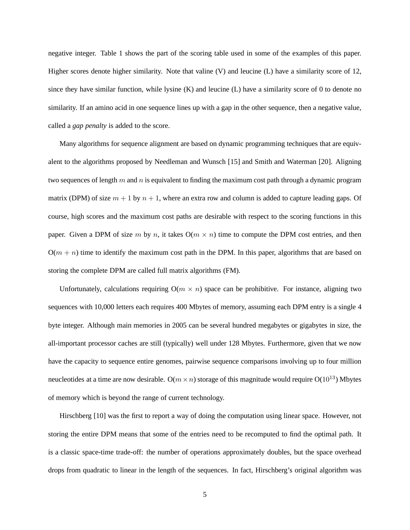negative integer. Table 1 shows the part of the scoring table used in some of the examples of this paper. Higher scores denote higher similarity. Note that valine (V) and leucine (L) have a similarity score of 12, since they have similar function, while lysine  $(K)$  and leucine  $(L)$  have a similarity score of 0 to denote no similarity. If an amino acid in one sequence lines up with a gap in the other sequence, then a negative value, called a *gap penalty* is added to the score.

Many algorithms for sequence alignment are based on dynamic programming techniques that are equivalent to the algorithms proposed by Needleman and Wunsch [15] and Smith and Waterman [20]. Aligning two sequences of length  $m$  and  $n$  is equivalent to finding the maximum cost path through a dynamic program matrix (DPM) of size  $m + 1$  by  $n + 1$ , where an extra row and column is added to capture leading gaps. Of course, high scores and the maximum cost paths are desirable with respect to the scoring functions in this paper. Given a DPM of size m by n, it takes  $O(m \times n)$  time to compute the DPM cost entries, and then  $O(m + n)$  time to identify the maximum cost path in the DPM. In this paper, algorithms that are based on storing the complete DPM are called full matrix algorithms (FM).

Unfortunately, calculations requiring  $O(m \times n)$  space can be prohibitive. For instance, aligning two sequences with 10,000 letters each requires 400 Mbytes of memory, assuming each DPM entry is a single 4 byte integer. Although main memories in 2005 can be several hundred megabytes or gigabytes in size, the all-important processor caches are still (typically) well under 128 Mbytes. Furthermore, given that we now have the capacity to sequence entire genomes, pairwise sequence comparisons involving up to four million neucleotides at a time are now desirable. O( $m \times n$ ) storage of this magnitude would require O(10<sup>13</sup>) Mbytes of memory which is beyond the range of current technology.

Hirschberg [10] was the first to report a way of doing the computation using linear space. However, not storing the entire DPM means that some of the entries need to be recomputed to find the optimal path. It is a classic space-time trade-off: the number of operations approximately doubles, but the space overhead drops from quadratic to linear in the length of the sequences. In fact, Hirschberg's original algorithm was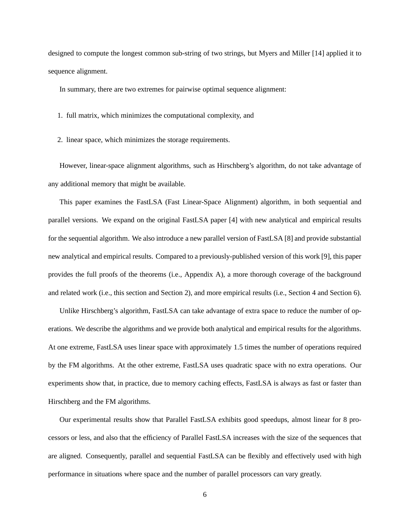designed to compute the longest common sub-string of two strings, but Myers and Miller [14] applied it to sequence alignment.

In summary, there are two extremes for pairwise optimal sequence alignment:

- 1. full matrix, which minimizes the computational complexity, and
- 2. linear space, which minimizes the storage requirements.

However, linear-space alignment algorithms, such as Hirschberg's algorithm, do not take advantage of any additional memory that might be available.

This paper examines the FastLSA (Fast Linear-Space Alignment) algorithm, in both sequential and parallel versions. We expand on the original FastLSA paper [4] with new analytical and empirical results for the sequential algorithm. We also introduce a new parallel version of FastLSA [8] and provide substantial new analytical and empirical results. Compared to a previously-published version of this work [9], this paper provides the full proofs of the theorems (i.e., Appendix A), a more thorough coverage of the background and related work (i.e., this section and Section 2), and more empirical results (i.e., Section 4 and Section 6).

Unlike Hirschberg's algorithm, FastLSA can take advantage of extra space to reduce the number of operations. We describe the algorithms and we provide both analytical and empirical results for the algorithms. At one extreme, FastLSA uses linear space with approximately 1.5 times the number of operations required by the FM algorithms. At the other extreme, FastLSA uses quadratic space with no extra operations. Our experiments show that, in practice, due to memory caching effects, FastLSA is always as fast or faster than Hirschberg and the FM algorithms.

Our experimental results show that Parallel FastLSA exhibits good speedups, almost linear for 8 processors or less, and also that the efficiency of Parallel FastLSA increases with the size of the sequences that are aligned. Consequently, parallel and sequential FastLSA can be flexibly and effectively used with high performance in situations where space and the number of parallel processors can vary greatly.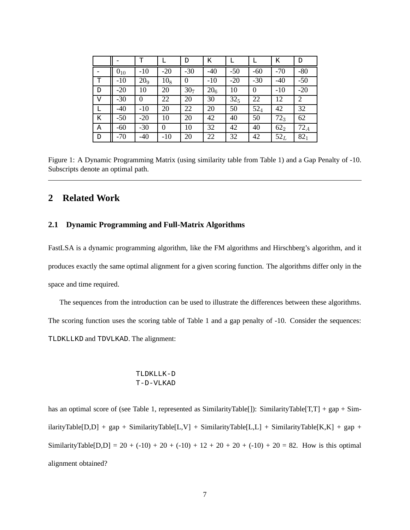|             |          | т               | L                | D               | Κ        | Г        | L        | K        | D      |
|-------------|----------|-----------------|------------------|-----------------|----------|----------|----------|----------|--------|
|             | $0_{10}$ | $-10$           | $-20$            | $-30$           | $-40$    | $-50$    | $-60$    | $-70$    | $-80$  |
| T           | $-10$    | 20 <sub>9</sub> | 10 <sub>8</sub>  | 0               | $-10$    | $-20$    | $-30$    | -40      | $-50$  |
| $\mathbb D$ | $-20$    | 10              | 20               | 30 <sub>7</sub> | $20_{6}$ | 10       | $\theta$ | $-10$    | $-20$  |
| $\bar{V}$   | $-30$    | $\theta$        | 22               | 20              | 30       | $32_{5}$ | 22       | 12       | 2      |
| Г           | $-40$    | $-10$           | 20               | 22              | 20       | 50       | $52_4$   | 42       | 32     |
| К           | $-50$    | $-20$           | 10               | 20              | 42       | 40       | 50       | $72_3$   | 62     |
| Α           | $-60$    | $-30$           | $\boldsymbol{0}$ | 10              | 32       | 42       | 40       | $62_{2}$ | $72_A$ |
| $\mathbf D$ | $-70$    | $-40$           | $-10$            | 20              | 22       | 32       | 42       | $52_L$   | $82_1$ |

Figure 1: A Dynamic Programming Matrix (using similarity table from Table 1) and a Gap Penalty of -10. Subscripts denote an optimal path.

## **2 Related Work**

#### **2.1 Dynamic Programming and Full-Matrix Algorithms**

FastLSA is a dynamic programming algorithm, like the FM algorithms and Hirschberg's algorithm, and it produces exactly the same optimal alignment for a given scoring function. The algorithms differ only in the space and time required.

The sequences from the introduction can be used to illustrate the differences between these algorithms. The scoring function uses the scoring table of Table 1 and a gap penalty of -10. Consider the sequences: TLDKLLKD and TDVLKAD. The alignment:

TLDKLLK-D T-D-VLKAD

has an optimal score of (see Table 1, represented as SimilarityTable[]): SimilarityTable[T,T] + gap + Sim- $\text{ilarityTable}[D,D] + \text{gap} + \text{SimilarityTable}[L,V] + \text{SimilarityTable}[L,L] + \text{SimilarityTable}[K,K] + \text{gap} + \text{SimplarityTable}[L,K]$ SimilarityTable[D,D] = 20 + (-10) + 20 + (-10) + 12 + 20 + 20 + (-10) + 20 = 82. How is this optimal alignment obtained?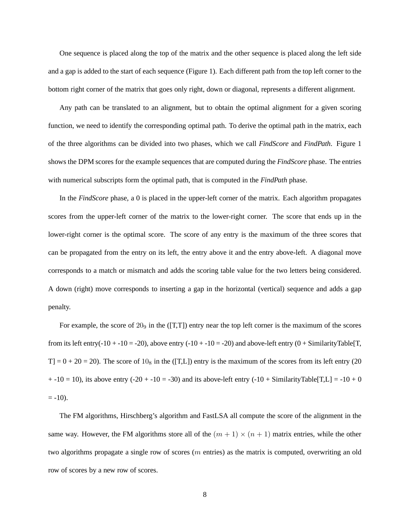One sequence is placed along the top of the matrix and the other sequence is placed along the left side and a gap is added to the start of each sequence (Figure 1). Each different path from the top left corner to the bottom right corner of the matrix that goes only right, down or diagonal, represents a different alignment.

Any path can be translated to an alignment, but to obtain the optimal alignment for a given scoring function, we need to identify the corresponding optimal path. To derive the optimal path in the matrix, each of the three algorithms can be divided into two phases, which we call *FindScore* and *FindPath*. Figure 1 shows the DPM scores for the example sequences that are computed during the *FindScore* phase. The entries with numerical subscripts form the optimal path, that is computed in the *FindPath* phase.

In the *FindScore* phase, a 0 is placed in the upper-left corner of the matrix. Each algorithm propagates scores from the upper-left corner of the matrix to the lower-right corner. The score that ends up in the lower-right corner is the optimal score. The score of any entry is the maximum of the three scores that can be propagated from the entry on its left, the entry above it and the entry above-left. A diagonal move corresponds to a match or mismatch and adds the scoring table value for the two letters being considered. A down (right) move corresponds to inserting a gap in the horizontal (vertical) sequence and adds a gap penalty.

For example, the score of  $20<sub>9</sub>$  in the ([T,T]) entry near the top left corner is the maximum of the scores from its left entry(-10 + -10 = -20), above entry (-10 + -10 = -20) and above-left entry  $(0 +$  SimilarityTable[T,  $T = 0 + 20 = 20$ . The score of  $10<sub>8</sub>$  in the ([T,L]) entry is the maximum of the scores from its left entry (20  $+$  -10 = 10), its above entry (-20 + -10 = -30) and its above-left entry (-10 + SimilarityTable[T,L] = -10 + 0  $= -10$ ).

The FM algorithms, Hirschberg's algorithm and FastLSA all compute the score of the alignment in the same way. However, the FM algorithms store all of the  $(m + 1) \times (n + 1)$  matrix entries, while the other two algorithms propagate a single row of scores (m entries) as the matrix is computed, overwriting an old row of scores by a new row of scores.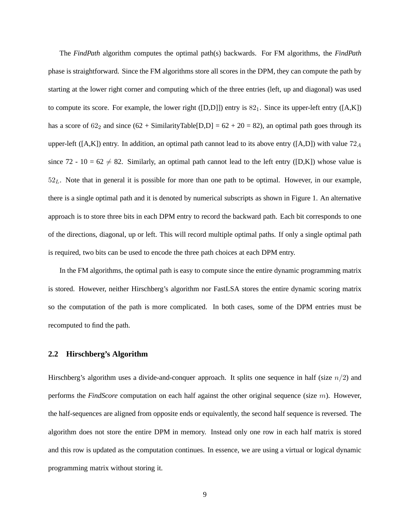The *FindPath* algorithm computes the optimal path(s) backwards. For FM algorithms, the *FindPath* phase is straightforward. Since the FM algorithms store all scores in the DPM, they can compute the path by starting at the lower right corner and computing which of the three entries (left, up and diagonal) was used to compute its score. For example, the lower right  $([D,D])$  entry is 82<sub>1</sub>. Since its upper-left entry  $([A,K])$ has a score of  $62<sub>2</sub>$  and since  $(62 +$  SimilarityTable[D,D] =  $62 + 20 = 82$ ), an optimal path goes through its upper-left ([A,K]) entry. In addition, an optimal path cannot lead to its above entry ([A,D]) with value  $72<sub>A</sub>$ since 72 - 10 =  $62 \neq 82$ . Similarly, an optimal path cannot lead to the left entry ([D,K]) whose value is  $52<sub>L</sub>$ . Note that in general it is possible for more than one path to be optimal. However, in our example, there is a single optimal path and it is denoted by numerical subscripts as shown in Figure 1. An alternative approach is to store three bits in each DPM entry to record the backward path. Each bit corresponds to one of the directions, diagonal, up or left. This will record multiple optimal paths. If only a single optimal path is required, two bits can be used to encode the three path choices at each DPM entry.

In the FM algorithms, the optimal path is easy to compute since the entire dynamic programming matrix is stored. However, neither Hirschberg's algorithm nor FastLSA stores the entire dynamic scoring matrix so the computation of the path is more complicated. In both cases, some of the DPM entries must be recomputed to find the path.

#### **2.2 Hirschberg's Algorithm**

Hirschberg's algorithm uses a divide-and-conquer approach. It splits one sequence in half (size  $n/2$ ) and performs the *FindScore* computation on each half against the other original sequence (size m). However, the half-sequences are aligned from opposite ends or equivalently, the second half sequence is reversed. The algorithm does not store the entire DPM in memory. Instead only one row in each half matrix is stored and this row is updated as the computation continues. In essence, we are using a virtual or logical dynamic programming matrix without storing it.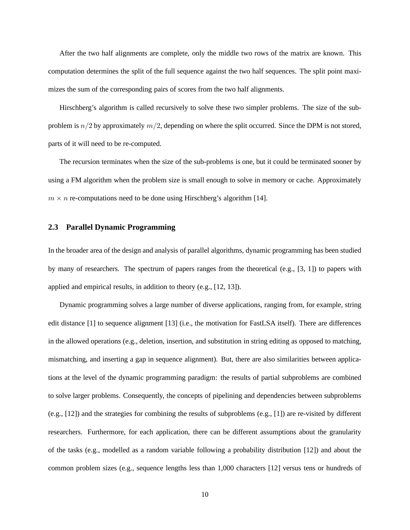After the two half alignments are complete, only the middle two rows of the matrix are known. This computation determines the split of the full sequence against the two half sequences. The split point maximizes the sum of the corresponding pairs of scores from the two half alignments.

Hirschberg's algorithm is called recursively to solve these two simpler problems. The size of the subproblem is  $n/2$  by approximately  $m/2$ , depending on where the split occurred. Since the DPM is not stored, parts of it will need to be re-computed.

The recursion terminates when the size of the sub-problems is one, but it could be terminated sooner by using a FM algorithm when the problem size is small enough to solve in memory or cache. Approximately  $m \times n$  re-computations need to be done using Hirschberg's algorithm [14].

#### **2.3 Parallel Dynamic Programming**

In the broader area of the design and analysis of parallel algorithms, dynamic programming has been studied by many of researchers. The spectrum of papers ranges from the theoretical (e.g., [3, 1]) to papers with applied and empirical results, in addition to theory (e.g., [12, 13]).

Dynamic programming solves a large number of diverse applications, ranging from, for example, string edit distance [1] to sequence alignment [13] (i.e., the motivation for FastLSA itself). There are differences in the allowed operations (e.g., deletion, insertion, and substitution in string editing as opposed to matching, mismatching, and inserting a gap in sequence alignment). But, there are also similarities between applications at the level of the dynamic programming paradigm: the results of partial subproblems are combined to solve larger problems. Consequently, the concepts of pipelining and dependencies between subproblems  $(e.g., [12])$  and the strategies for combining the results of subproblems  $(e.g., [1])$  are re-visited by different researchers. Furthermore, for each application, there can be different assumptions about the granularity of the tasks (e.g., modelled as a random variable following a probability distribution [12]) and about the common problem sizes (e.g., sequence lengths less than 1,000 characters [12] versus tens or hundreds of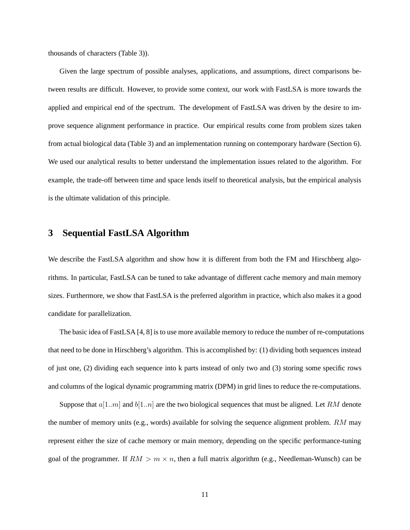thousands of characters (Table 3)).

Given the large spectrum of possible analyses, applications, and assumptions, direct comparisons between results are difficult. However, to provide some context, our work with FastLSA is more towards the applied and empirical end of the spectrum. The development of FastLSA was driven by the desire to improve sequence alignment performance in practice. Our empirical results come from problem sizes taken from actual biological data (Table 3) and an implementation running on contemporary hardware (Section 6). We used our analytical results to better understand the implementation issues related to the algorithm. For example, the trade-off between time and space lends itself to theoretical analysis, but the empirical analysis is the ultimate validation of this principle.

## **3 Sequential FastLSA Algorithm**

We describe the FastLSA algorithm and show how it is different from both the FM and Hirschberg algorithms. In particular, FastLSA can be tuned to take advantage of different cache memory and main memory sizes. Furthermore, we show that FastLSA is the preferred algorithm in practice, which also makes it a good candidate for parallelization.

The basic idea of FastLSA [4, 8] is to use more available memory to reduce the number of re-computations that need to be done in Hirschberg's algorithm. This is accomplished by: (1) dividing both sequences instead of just one, (2) dividing each sequence into k parts instead of only two and (3) storing some specific rows and columns of the logical dynamic programming matrix (DPM) in grid lines to reduce the re-computations.

Suppose that  $a[1..m]$  and  $b[1..n]$  are the two biological sequences that must be aligned. Let RM denote the number of memory units (e.g., words) available for solving the sequence alignment problem.  $RM$  may represent either the size of cache memory or main memory, depending on the specific performance-tuning goal of the programmer. If  $RM > m \times n$ , then a full matrix algorithm (e.g., Needleman-Wunsch) can be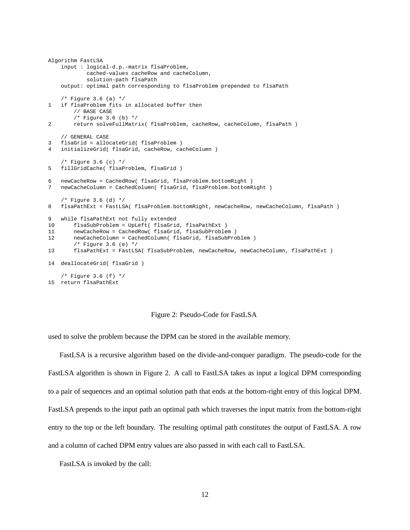```
Algorithm FastLSA
   input : logical-d.p.-matrix flsaProblem,
           cached-values cacheRow and cacheColumn,
           solution-path flsaPath
   output: optimal path corresponding to flsaProblem prepended to flsaPath
    /* Figure 3.6 (a) */
1 if flsaProblem fits in allocated buffer then
       // BASE CASE
       /* Figure 3.6 (b) */
2 return solveFullMatrix( flsaProblem, cacheRow, cacheColumn, flsaPath )
   // GENERAL CASE
3 flsaGrid = allocateGrid( flsaProblem )
4 initializeGrid( flsaGrid, cacheRow, cacheColumn )
    /* Figure 3.6 (c) */
5 fillGridCache( flsaProblem, flsaGrid )
6 newCacheRow = CachedRow( flsaGrid, flsaProblem.bottomRight )
7 newCacheColumn = CachedColumn( flsaGrid, flsaProblem.bottomRight )
   /* Figure 3.6 (d) */
8 flsaPathExt = FastLSA( flsaProblem.bottomRight, newCacheRow, newCacheColumn, flsaPath )
9 while flsaPathExt not fully extended
10 flsaSubProblem = UpLeft( flsaGrid, flsaPathExt )
11 newCacheRow = CachedRow( flsaGrid, flsaSubProblem )
12 newCacheColumn = CachedColumn( flsaGrid, flsaSubProblem )
       /* Figure 3.6 (e) */
13 flsaPathExt = FastLSA( flsaSubProblem, newCacheRow, newCacheColumn, flsaPathExt )
14 deallocateGrid( flsaGrid )
    /* Figure 3.6 (f) */
15 return flsaPathExt
```
#### Figure 2: Pseudo-Code for FastLSA

used to solve the problem because the DPM can be stored in the available memory.

FastLSA is a recursive algorithm based on the divide-and-conquer paradigm. The pseudo-code for the FastLSA algorithm is shown in Figure 2. A call to FastLSA takes as input a logical DPM corresponding to a pair of sequences and an optimal solution path that ends at the bottom-right entry of this logical DPM. FastLSA prepends to the input path an optimal path which traverses the input matrix from the bottom-right entry to the top or the left boundary. The resulting optimal path constitutes the output of FastLSA. A row and a column of cached DPM entry values are also passed in with each call to FastLSA.

FastLSA is invoked by the call: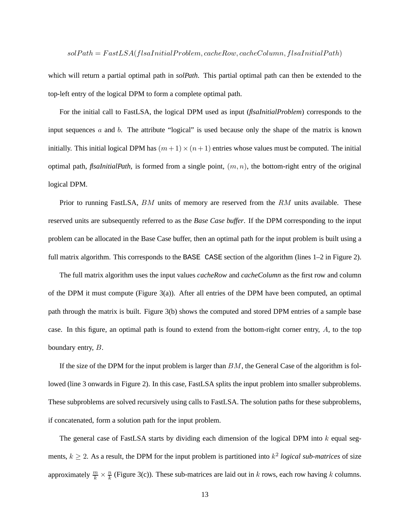$solPath = FastLSA(flsalnital Problem, cacheRow, cacheColumn, flsalnitalPath)$ 

which will return a partial optimal path in *solPath*. This partial optimal path can then be extended to the top-left entry of the logical DPM to form a complete optimal path.

For the initial call to FastLSA, the logical DPM used as input (*flsaInitialProblem*) corresponds to the input sequences  $\alpha$  and  $\beta$ . The attribute "logical" is used because only the shape of the matrix is known initially. This initial logical DPM has  $(m + 1) \times (n + 1)$  entries whose values must be computed. The initial optimal path, *flsaInitialPath*, is formed from a single point, (m, n), the bottom-right entry of the original logical DPM.

Prior to running FastLSA, BM units of memory are reserved from the RM units available. These reserved units are subsequently referred to as the *Base Case buffer*. If the DPM corresponding to the input problem can be allocated in the Base Case buffer, then an optimal path for the input problem is built using a full matrix algorithm. This corresponds to the BASE CASE section of the algorithm (lines  $1-2$  in Figure 2).

The full matrix algorithm uses the input values *cacheRow* and *cacheColumn* as the first row and column of the DPM it must compute (Figure 3(a)). After all entries of the DPM have been computed, an optimal path through the matrix is built. Figure 3(b) shows the computed and stored DPM entries of a sample base case. In this figure, an optimal path is found to extend from the bottom-right corner entry, A, to the top boundary entry, B.

If the size of the DPM for the input problem is larger than  $BM$ , the General Case of the algorithm is followed (line 3 onwards in Figure 2). In this case, FastLSA splits the input problem into smaller subproblems. These subproblems are solved recursively using calls to FastLSA. The solution paths for these subproblems, if concatenated, form a solution path for the input problem.

The general case of FastLSA starts by dividing each dimension of the logical DPM into k equal segments,  $k \geq 2$ . As a result, the DPM for the input problem is partitioned into  $k^2$  *logical sub-matrices* of size approximately  $\frac{m}{k} \times \frac{n}{k}$  $\frac{n}{k}$  (Figure 3(c)). These sub-matrices are laid out in k rows, each row having k columns.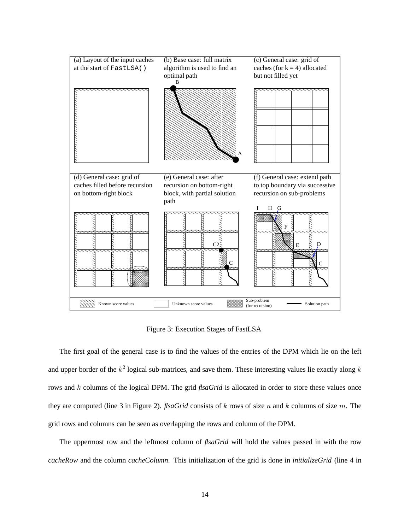

Figure 3: Execution Stages of FastLSA

The first goal of the general case is to find the values of the entries of the DPM which lie on the left and upper border of the  $k^2$  logical sub-matrices, and save them. These interesting values lie exactly along k rows and k columns of the logical DPM. The grid *flsaGrid* is allocated in order to store these values once they are computed (line 3 in Figure 2). *flsaGrid* consists of k rows of size n and k columns of size m. The grid rows and columns can be seen as overlapping the rows and column of the DPM.

The uppermost row and the leftmost column of *flsaGrid* will hold the values passed in with the row *cacheRow* and the column *cacheColumn*. This initialization of the grid is done in *initializeGrid* (line 4 in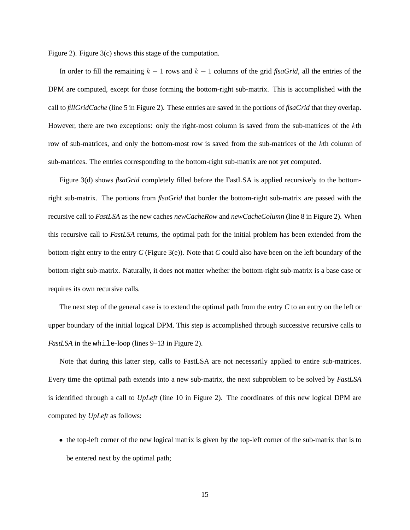Figure 2). Figure 3(c) shows this stage of the computation.

In order to fill the remaining  $k - 1$  rows and  $k - 1$  columns of the grid *flsaGrid*, all the entries of the DPM are computed, except for those forming the bottom-right sub-matrix. This is accomplished with the call to *fillGridCache* (line 5 in Figure 2). These entries are saved in the portions of *flsaGrid* that they overlap. However, there are two exceptions: only the right-most column is saved from the sub-matrices of the kth row of sub-matrices, and only the bottom-most row is saved from the sub-matrices of the kth column of sub-matrices. The entries corresponding to the bottom-right sub-matrix are not yet computed.

Figure 3(d) shows *flsaGrid* completely filled before the FastLSA is applied recursively to the bottomright sub-matrix. The portions from *flsaGrid* that border the bottom-right sub-matrix are passed with the recursive call to *FastLSA* as the new caches *newCacheRow* and *newCacheColumn* (line 8 in Figure 2). When this recursive call to *FastLSA* returns, the optimal path for the initial problem has been extended from the bottom-right entry to the entry *C* (Figure 3(e)). Note that *C* could also have been on the left boundary of the bottom-right sub-matrix. Naturally, it does not matter whether the bottom-right sub-matrix is a base case or requires its own recursive calls.

The next step of the general case is to extend the optimal path from the entry *C* to an entry on the left or upper boundary of the initial logical DPM. This step is accomplished through successive recursive calls to *FastLSA* in the while-loop (lines 9–13 in Figure 2).

Note that during this latter step, calls to FastLSA are not necessarily applied to entire sub-matrices. Every time the optimal path extends into a new sub-matrix, the next subproblem to be solved by *FastLSA* is identified through a call to *UpLeft* (line 10 in Figure 2). The coordinates of this new logical DPM are computed by *UpLeft* as follows:

• the top-left corner of the new logical matrix is given by the top-left corner of the sub-matrix that is to be entered next by the optimal path;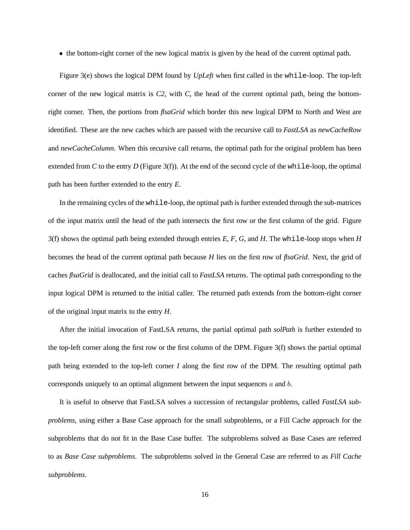• the bottom-right corner of the new logical matrix is given by the head of the current optimal path.

Figure 3(e) shows the logical DPM found by *UpLeft* when first called in the while-loop. The top-left corner of the new logical matrix is *C2*, with *C*, the head of the current optimal path, being the bottomright corner. Then, the portions from *flsaGrid* which border this new logical DPM to North and West are identified. These are the new caches which are passed with the recursive call to *FastLSA* as *newCacheRow* and *newCacheColumn*. When this recursive call returns, the optimal path for the original problem has been extended from *C* to the entry *D* (Figure 3(f)). At the end of the second cycle of the while-loop, the optimal path has been further extended to the entry *E*.

In the remaining cycles of the while-loop, the optimal path is further extended through the sub-matrices of the input matrix until the head of the path intersects the first row or the first column of the grid. Figure 3(f) shows the optimal path being extended through entries *E*, *F*, *G*, and *H*. The while-loop stops when *H* becomes the head of the current optimal path because *H* lies on the first row of *flsaGrid*. Next, the grid of caches *flsaGrid* is deallocated, and the initial call to *FastLSA* returns. The optimal path corresponding to the input logical DPM is returned to the initial caller. The returned path extends from the bottom-right corner of the original input matrix to the entry *H*.

After the initial invocation of FastLSA returns, the partial optimal path *solPath* is further extended to the top-left corner along the first row or the first column of the DPM. Figure 3(f) shows the partial optimal path being extended to the top-left corner *I* along the first row of the DPM. The resulting optimal path corresponds uniquely to an optimal alignment between the input sequences  $a$  and  $b$ .

It is useful to observe that FastLSA solves a succession of rectangular problems, called *FastLSA subproblems*, using either a Base Case approach for the small subproblems, or a Fill Cache approach for the subproblems that do not fit in the Base Case buffer. The subproblems solved as Base Cases are referred to as *Base Case subproblems*. The subproblems solved in the General Case are referred to as *Fill Cache subproblems*.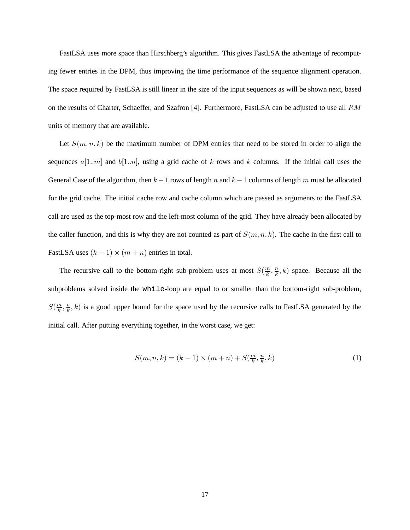FastLSA uses more space than Hirschberg's algorithm. This gives FastLSA the advantage of recomputing fewer entries in the DPM, thus improving the time performance of the sequence alignment operation. The space required by FastLSA is still linear in the size of the input sequences as will be shown next, based on the results of Charter, Schaeffer, and Szafron [4]. Furthermore, FastLSA can be adjusted to use all RM units of memory that are available.

Let  $S(m, n, k)$  be the maximum number of DPM entries that need to be stored in order to align the sequences  $a[1..m]$  and  $b[1..n]$ , using a grid cache of k rows and k columns. If the initial call uses the General Case of the algorithm, then  $k - 1$  rows of length n and  $k - 1$  columns of length m must be allocated for the grid cache. The initial cache row and cache column which are passed as arguments to the FastLSA call are used as the top-most row and the left-most column of the grid. They have already been allocated by the caller function, and this is why they are not counted as part of  $S(m, n, k)$ . The cache in the first call to FastLSA uses  $(k - 1) \times (m + n)$  entries in total.

The recursive call to the bottom-right sub-problem uses at most  $S(\frac{m}{k})$  $\frac{m}{k}, \frac{n}{k}$  $\frac{n}{k}, k$ ) space. Because all the subproblems solved inside the while-loop are equal to or smaller than the bottom-right sub-problem,  $S(\frac{m}{k})$  $\frac{m}{k}, \frac{n}{k}$  $\frac{n}{k}$ , k) is a good upper bound for the space used by the recursive calls to FastLSA generated by the initial call. After putting everything together, in the worst case, we get:

$$
S(m, n, k) = (k - 1) \times (m + n) + S(\frac{m}{k}, \frac{n}{k}, k)
$$
 (1)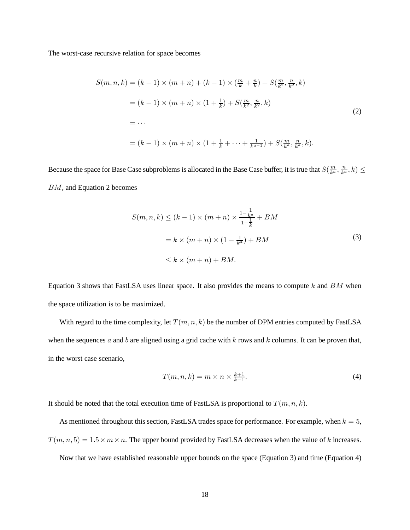The worst-case recursive relation for space becomes

$$
S(m, n, k) = (k - 1) \times (m + n) + (k - 1) \times (\frac{m}{k} + \frac{n}{k}) + S(\frac{m}{k^2}, \frac{n}{k^2}, k)
$$
  
=  $(k - 1) \times (m + n) \times (1 + \frac{1}{k}) + S(\frac{m}{k^2}, \frac{n}{k^2}, k)$   
= ...  
=  $(k - 1) \times (m + n) \times (1 + \frac{1}{k} + \dots + \frac{1}{k^{a-1}}) + S(\frac{m}{k^a}, \frac{n}{k^a}, k).$  (2)

Because the space for Base Case subproblems is allocated in the Base Case buffer, it is true that  $S(\frac{m}{k^a}, \frac{n}{k^a}, k) \leq$ BM, and Equation 2 becomes

$$
S(m, n, k) \le (k - 1) \times (m + n) \times \frac{1 - \frac{1}{k^a}}{1 - \frac{1}{k}} + BM
$$
  
=  $k \times (m + n) \times (1 - \frac{1}{k^a}) + BM$   
 $\le k \times (m + n) + BM.$  (3)

Equation 3 shows that FastLSA uses linear space. It also provides the means to compute  $k$  and  $BM$  when the space utilization is to be maximized.

With regard to the time complexity, let  $T(m, n, k)$  be the number of DPM entries computed by FastLSA when the sequences a and b are aligned using a grid cache with  $k$  rows and  $k$  columns. It can be proven that, in the worst case scenario,

$$
T(m, n, k) = m \times n \times \frac{k+1}{k-1}.
$$
\n<sup>(4)</sup>

It should be noted that the total execution time of FastLSA is proportional to  $T(m, n, k)$ .

As mentioned throughout this section, FastLSA trades space for performance. For example, when  $k = 5$ ,  $T(m, n, 5) = 1.5 \times m \times n$ . The upper bound provided by FastLSA decreases when the value of k increases.

Now that we have established reasonable upper bounds on the space (Equation 3) and time (Equation 4)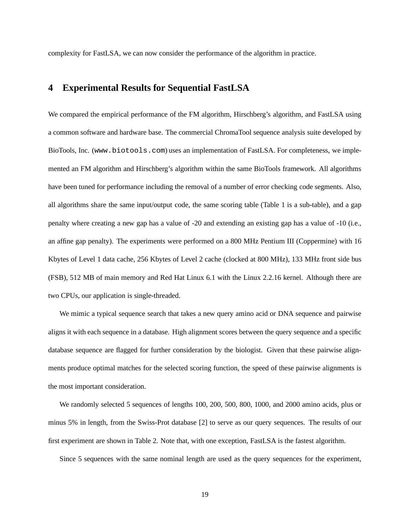complexity for FastLSA, we can now consider the performance of the algorithm in practice.

## **4 Experimental Results for Sequential FastLSA**

We compared the empirical performance of the FM algorithm, Hirschberg's algorithm, and FastLSA using a common software and hardware base. The commercial ChromaTool sequence analysis suite developed by BioTools, Inc. (www.biotools.com) uses an implementation of FastLSA. For completeness, we implemented an FM algorithm and Hirschberg's algorithm within the same BioTools framework. All algorithms have been tuned for performance including the removal of a number of error checking code segments. Also, all algorithms share the same input/output code, the same scoring table (Table 1 is a sub-table), and a gap penalty where creating a new gap has a value of -20 and extending an existing gap has a value of -10 (i.e., an affine gap penalty). The experiments were performed on a 800 MHz Pentium III (Coppermine) with 16 Kbytes of Level 1 data cache, 256 Kbytes of Level 2 cache (clocked at 800 MHz), 133 MHz front side bus (FSB), 512 MB of main memory and Red Hat Linux 6.1 with the Linux 2.2.16 kernel. Although there are two CPUs, our application is single-threaded.

We mimic a typical sequence search that takes a new query amino acid or DNA sequence and pairwise aligns it with each sequence in a database. High alignment scores between the query sequence and a specific database sequence are flagged for further consideration by the biologist. Given that these pairwise alignments produce optimal matches for the selected scoring function, the speed of these pairwise alignments is the most important consideration.

We randomly selected 5 sequences of lengths 100, 200, 500, 800, 1000, and 2000 amino acids, plus or minus 5% in length, from the Swiss-Prot database [2] to serve as our query sequences. The results of our first experiment are shown in Table 2. Note that, with one exception, FastLSA is the fastest algorithm.

Since 5 sequences with the same nominal length are used as the query sequences for the experiment,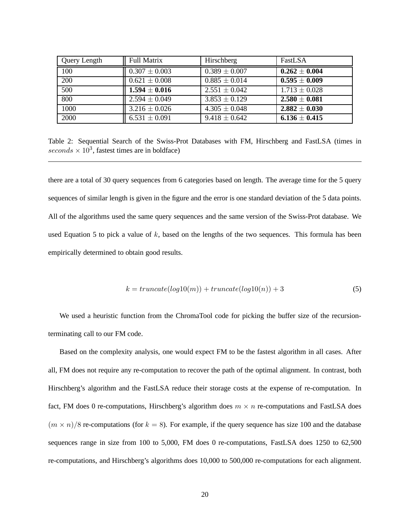| Query Length | <b>Full Matrix</b> | Hirschberg        | FastLSA           |
|--------------|--------------------|-------------------|-------------------|
| 100          | $0.307 \pm 0.003$  | $0.389 \pm 0.007$ | $0.262 \pm 0.004$ |
| 200          | $0.621 \pm 0.008$  | $0.885 \pm 0.014$ | $0.595 \pm 0.009$ |
| 500          | $1.594 \pm 0.016$  | $2.551 \pm 0.042$ | $1.713 \pm 0.028$ |
| 800          | $2.594 \pm 0.049$  | $3.853 \pm 0.129$ | $2.580 \pm 0.081$ |
| 1000         | $3.216 \pm 0.026$  | $4.305 \pm 0.048$ | $2.882 \pm 0.030$ |
| 2000         | $6.531 \pm 0.091$  | $9.418 \pm 0.642$ | $6.136 \pm 0.415$ |

Table 2: Sequential Search of the Swiss-Prot Databases with FM, Hirschberg and FastLSA (times in seconds  $\times$  10<sup>3</sup>, fastest times are in boldface)

there are a total of 30 query sequences from 6 categories based on length. The average time for the 5 query sequences of similar length is given in the figure and the error is one standard deviation of the 5 data points. All of the algorithms used the same query sequences and the same version of the Swiss-Prot database. We used Equation 5 to pick a value of  $k$ , based on the lengths of the two sequences. This formula has been empirically determined to obtain good results.

$$
k = truncate(log10(m)) + truncate(log10(n)) + 3
$$
\n(5)

We used a heuristic function from the ChromaTool code for picking the buffer size of the recursionterminating call to our FM code.

Based on the complexity analysis, one would expect FM to be the fastest algorithm in all cases. After all, FM does not require any re-computation to recover the path of the optimal alignment. In contrast, both Hirschberg's algorithm and the FastLSA reduce their storage costs at the expense of re-computation. In fact, FM does 0 re-computations, Hirschberg's algorithm does  $m \times n$  re-computations and FastLSA does  $(m \times n)/8$  re-computations (for  $k = 8$ ). For example, if the query sequence has size 100 and the database sequences range in size from 100 to 5,000, FM does 0 re-computations, FastLSA does 1250 to 62,500 re-computations, and Hirschberg's algorithms does 10,000 to 500,000 re-computations for each alignment.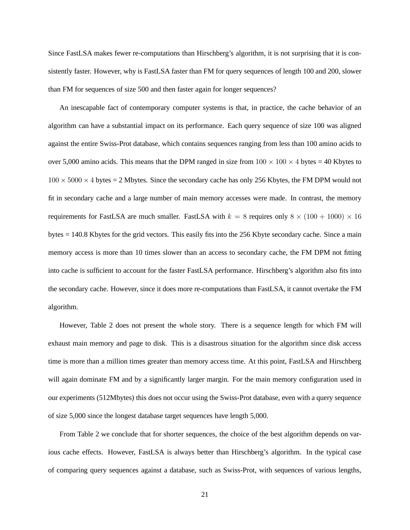Since FastLSA makes fewer re-computations than Hirschberg's algorithm, it is not surprising that it is consistently faster. However, why is FastLSA faster than FM for query sequences of length 100 and 200, slower than FM for sequences of size 500 and then faster again for longer sequences?

An inescapable fact of contemporary computer systems is that, in practice, the cache behavior of an algorithm can have a substantial impact on its performance. Each query sequence of size 100 was aligned against the entire Swiss-Prot database, which contains sequences ranging from less than 100 amino acids to over 5,000 amino acids. This means that the DPM ranged in size from  $100 \times 100 \times 4$  bytes = 40 Kbytes to  $100 \times 5000 \times 4$  bytes = 2 Mbytes. Since the secondary cache has only 256 Kbytes, the FM DPM would not fit in secondary cache and a large number of main memory accesses were made. In contrast, the memory requirements for FastLSA are much smaller. FastLSA with  $k = 8$  requires only  $8 \times (100 + 1000) \times 16$ bytes = 140.8 Kbytes for the grid vectors. This easily fits into the 256 Kbyte secondary cache. Since a main memory access is more than 10 times slower than an access to secondary cache, the FM DPM not fitting into cache is sufficient to account for the faster FastLSA performance. Hirschberg's algorithm also fits into the secondary cache. However, since it does more re-computations than FastLSA, it cannot overtake the FM algorithm.

However, Table 2 does not present the whole story. There is a sequence length for which FM will exhaust main memory and page to disk. This is a disastrous situation for the algorithm since disk access time is more than a million times greater than memory access time. At this point, FastLSA and Hirschberg will again dominate FM and by a significantly larger margin. For the main memory configuration used in our experiments (512Mbytes) this does not occur using the Swiss-Prot database, even with a query sequence of size 5,000 since the longest database target sequences have length 5,000.

From Table 2 we conclude that for shorter sequences, the choice of the best algorithm depends on various cache effects. However, FastLSA is always better than Hirschberg's algorithm. In the typical case of comparing query sequences against a database, such as Swiss-Prot, with sequences of various lengths,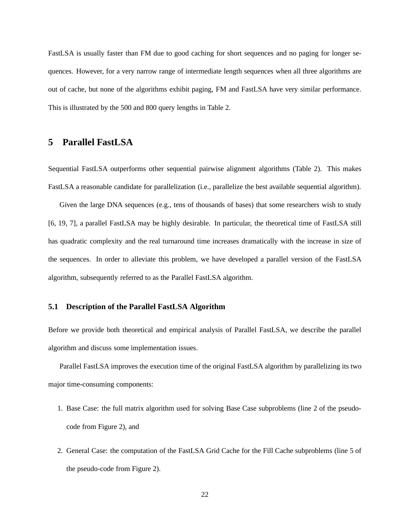FastLSA is usually faster than FM due to good caching for short sequences and no paging for longer sequences. However, for a very narrow range of intermediate length sequences when all three algorithms are out of cache, but none of the algorithms exhibit paging, FM and FastLSA have very similar performance. This is illustrated by the 500 and 800 query lengths in Table 2.

## **5 Parallel FastLSA**

Sequential FastLSA outperforms other sequential pairwise alignment algorithms (Table 2). This makes FastLSA a reasonable candidate for parallelization (i.e., parallelize the best available sequential algorithm).

Given the large DNA sequences (e.g., tens of thousands of bases) that some researchers wish to study [6, 19, 7], a parallel FastLSA may be highly desirable. In particular, the theoretical time of FastLSA still has quadratic complexity and the real turnaround time increases dramatically with the increase in size of the sequences. In order to alleviate this problem, we have developed a parallel version of the FastLSA algorithm, subsequently referred to as the Parallel FastLSA algorithm.

#### **5.1 Description of the Parallel FastLSA Algorithm**

Before we provide both theoretical and empirical analysis of Parallel FastLSA, we describe the parallel algorithm and discuss some implementation issues.

Parallel FastLSA improves the execution time of the original FastLSA algorithm by parallelizing its two major time-consuming components:

- 1. Base Case: the full matrix algorithm used for solving Base Case subproblems (line 2 of the pseudocode from Figure 2), and
- 2. General Case: the computation of the FastLSA Grid Cache for the Fill Cache subproblems (line 5 of the pseudo-code from Figure 2).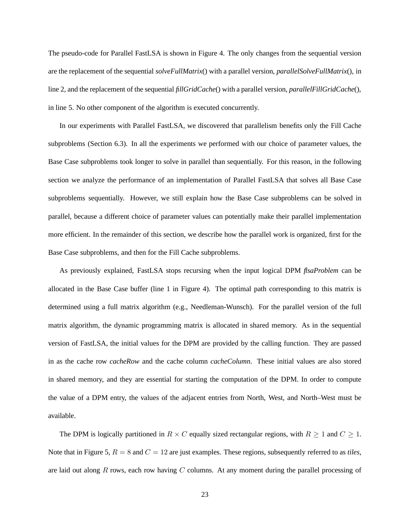The pseudo-code for Parallel FastLSA is shown in Figure 4. The only changes from the sequential version are the replacement of the sequential *solveFullMatrix*() with a parallel version, *parallelSolveFullMatrix*(), in line 2, and the replacement of the sequential *fillGridCache*() with a parallel version, *parallelFillGridCache*(), in line 5. No other component of the algorithm is executed concurrently.

In our experiments with Parallel FastLSA, we discovered that parallelism benefits only the Fill Cache subproblems (Section 6.3). In all the experiments we performed with our choice of parameter values, the Base Case subproblems took longer to solve in parallel than sequentially. For this reason, in the following section we analyze the performance of an implementation of Parallel FastLSA that solves all Base Case subproblems sequentially. However, we still explain how the Base Case subproblems can be solved in parallel, because a different choice of parameter values can potentially make their parallel implementation more efficient. In the remainder of this section, we describe how the parallel work is organized, first for the Base Case subproblems, and then for the Fill Cache subproblems.

As previously explained, FastLSA stops recursing when the input logical DPM *flsaProblem* can be allocated in the Base Case buffer (line 1 in Figure 4). The optimal path corresponding to this matrix is determined using a full matrix algorithm (e.g., Needleman-Wunsch). For the parallel version of the full matrix algorithm, the dynamic programming matrix is allocated in shared memory. As in the sequential version of FastLSA, the initial values for the DPM are provided by the calling function. They are passed in as the cache row *cacheRow* and the cache column *cacheColumn*. These initial values are also stored in shared memory, and they are essential for starting the computation of the DPM. In order to compute the value of a DPM entry, the values of the adjacent entries from North, West, and North–West must be available.

The DPM is logically partitioned in  $R \times C$  equally sized rectangular regions, with  $R \ge 1$  and  $C \ge 1$ . Note that in Figure 5,  $R = 8$  and  $C = 12$  are just examples. These regions, subsequently referred to as *tiles*, are laid out along  $R$  rows, each row having  $C$  columns. At any moment during the parallel processing of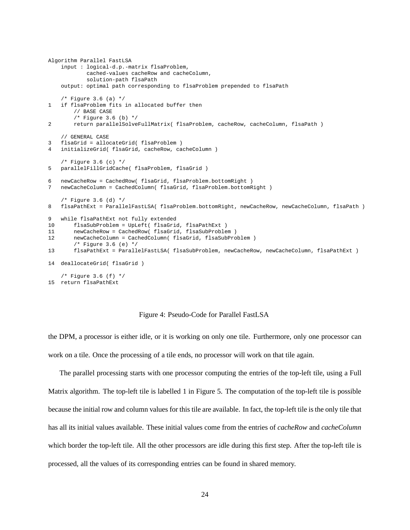```
Algorithm Parallel FastLSA
    input : logical-d.p.-matrix flsaProblem,
           cached-values cacheRow and cacheColumn,
           solution-path flsaPath
   output: optimal path corresponding to flsaProblem prepended to flsaPath
    /* Figure 3.6 (a) */
1 if flsaProblem fits in allocated buffer then
        // BASE CASE
        /* Figure 3.6 (b) */
2 return parallelSolveFullMatrix( flsaProblem, cacheRow, cacheColumn, flsaPath )
   // GENERAL CASE
3 flsaGrid = allocateGrid( flsaProblem )
4 initializeGrid( flsaGrid, cacheRow, cacheColumn )
    /* Figure 3.6 (c) */
5 parallelFillGridCache( flsaProblem, flsaGrid )
6 newCacheRow = CachedRow( flsaGrid, flsaProblem.bottomRight )
   7 newCacheColumn = CachedColumn( flsaGrid, flsaProblem.bottomRight )
    /* Figure 3.6 (d) */
8 flsaPathExt = ParallelFastLSA( flsaProblem.bottomRight, newCacheRow, newCacheColumn, flsaPath )
9 while flsaPathExt not fully extended
10 flsaSubProblem = UpLeft( flsaGrid, flsaPathExt )
       11 newCacheRow = CachedRow( flsaGrid, flsaSubProblem )
12 newCacheColumn = CachedColumn( flsaGrid, flsaSubProblem )
        /* Figure 3.6 (e) */
13 flsaPathExt = ParallelFastLSA( flsaSubProblem, newCacheRow, newCacheColumn, flsaPathExt )
14 deallocateGrid( flsaGrid )
    /* Figure 3.6 (f) */
15 return flsaPathExt
```
#### Figure 4: Pseudo-Code for Parallel FastLSA

the DPM, a processor is either idle, or it is working on only one tile. Furthermore, only one processor can work on a tile. Once the processing of a tile ends, no processor will work on that tile again.

The parallel processing starts with one processor computing the entries of the top-left tile, using a Full Matrix algorithm. The top-left tile is labelled 1 in Figure 5. The computation of the top-left tile is possible because the initial row and column values for this tile are available. In fact, the top-left tile is the only tile that has all its initial values available. These initial values come from the entries of *cacheRow* and *cacheColumn* which border the top-left tile. All the other processors are idle during this first step. After the top-left tile is processed, all the values of its corresponding entries can be found in shared memory.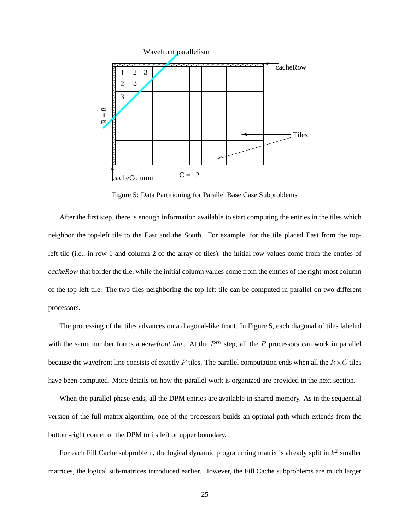

Figure 5: Data Partitioning for Parallel Base Case Subproblems

After the first step, there is enough information available to start computing the entries in the tiles which neighbor the top-left tile to the East and the South. For example, for the tile placed East from the topleft tile (i.e., in row 1 and column 2 of the array of tiles), the initial row values come from the entries of *cacheRow* that border the tile, while the initial column values come from the entries of the right-most column of the top-left tile. The two tiles neighboring the top-left tile can be computed in parallel on two different processors.

The processing of the tiles advances on a diagonal-like front. In Figure 5, each diagonal of tiles labeled with the same number forms a *wavefront line*. At the  $P^{th}$  step, all the  $P$  processors can work in parallel because the wavefront line consists of exactly P tiles. The parallel computation ends when all the  $R \times C$  tiles have been computed. More details on how the parallel work is organized are provided in the next section.

When the parallel phase ends, all the DPM entries are available in shared memory. As in the sequential version of the full matrix algorithm, one of the processors builds an optimal path which extends from the bottom-right corner of the DPM to its left or upper boundary.

For each Fill Cache subproblem, the logical dynamic programming matrix is already split in  $k^2$  smaller matrices, the logical sub-matrices introduced earlier. However, the Fill Cache subproblems are much larger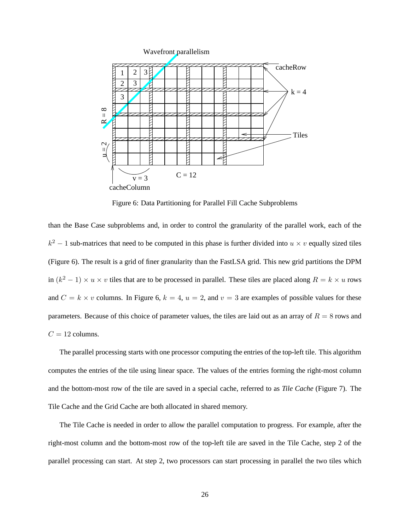

Figure 6: Data Partitioning for Parallel Fill Cache Subproblems

than the Base Case subproblems and, in order to control the granularity of the parallel work, each of the  $k^2 - 1$  sub-matrices that need to be computed in this phase is further divided into  $u \times v$  equally sized tiles (Figure 6). The result is a grid of finer granularity than the FastLSA grid. This new grid partitions the DPM in  $(k^2 - 1) \times u \times v$  tiles that are to be processed in parallel. These tiles are placed along  $R = k \times u$  rows and  $C = k \times v$  columns. In Figure 6,  $k = 4$ ,  $u = 2$ , and  $v = 3$  are examples of possible values for these parameters. Because of this choice of parameter values, the tiles are laid out as an array of  $R = 8$  rows and  $C = 12$  columns.

The parallel processing starts with one processor computing the entries of the top-left tile. This algorithm computes the entries of the tile using linear space. The values of the entries forming the right-most column and the bottom-most row of the tile are saved in a special cache, referred to as *Tile Cache* (Figure 7). The Tile Cache and the Grid Cache are both allocated in shared memory.

The Tile Cache is needed in order to allow the parallel computation to progress. For example, after the right-most column and the bottom-most row of the top-left tile are saved in the Tile Cache, step 2 of the parallel processing can start. At step 2, two processors can start processing in parallel the two tiles which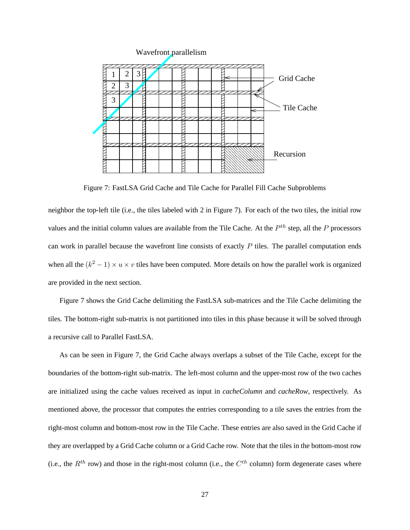

Figure 7: FastLSA Grid Cache and Tile Cache for Parallel Fill Cache Subproblems

neighbor the top-left tile (i.e., the tiles labeled with 2 in Figure 7). For each of the two tiles, the initial row values and the initial column values are available from the Tile Cache. At the  $P^{th}$  step, all the  $P$  processors can work in parallel because the wavefront line consists of exactly  $P$  tiles. The parallel computation ends when all the  $(k^2 - 1) \times u \times v$  tiles have been computed. More details on how the parallel work is organized are provided in the next section.

Figure 7 shows the Grid Cache delimiting the FastLSA sub-matrices and the Tile Cache delimiting the tiles. The bottom-right sub-matrix is not partitioned into tiles in this phase because it will be solved through a recursive call to Parallel FastLSA.

As can be seen in Figure 7, the Grid Cache always overlaps a subset of the Tile Cache, except for the boundaries of the bottom-right sub-matrix. The left-most column and the upper-most row of the two caches are initialized using the cache values received as input in *cacheColumn* and *cacheRow*, respectively. As mentioned above, the processor that computes the entries corresponding to a tile saves the entries from the right-most column and bottom-most row in the Tile Cache. These entries are also saved in the Grid Cache if they are overlapped by a Grid Cache column or a Grid Cache row. Note that the tiles in the bottom-most row (i.e., the  $R^{th}$  row) and those in the right-most column (i.e., the  $C^{th}$  column) form degenerate cases where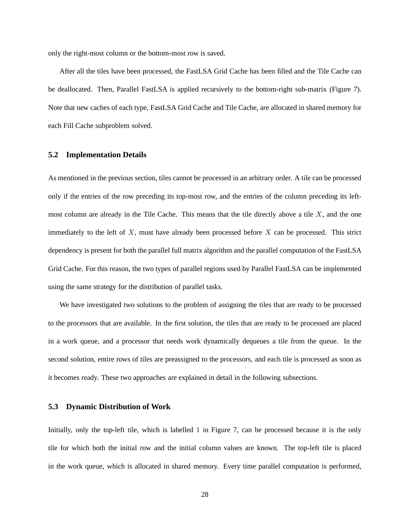only the right-most column or the bottom-most row is saved.

After all the tiles have been processed, the FastLSA Grid Cache has been filled and the Tile Cache can be deallocated. Then, Parallel FastLSA is applied recursively to the bottom-right sub-matrix (Figure 7). Note that new caches of each type, FastLSA Grid Cache and Tile Cache, are allocated in shared memory for each Fill Cache subproblem solved.

#### **5.2 Implementation Details**

As mentioned in the previous section, tiles cannot be processed in an arbitrary order. A tile can be processed only if the entries of the row preceding its top-most row, and the entries of the column preceding its leftmost column are already in the Tile Cache. This means that the tile directly above a tile  $X$ , and the one immediately to the left of  $X$ , must have already been processed before  $X$  can be processed. This strict dependency is present for both the parallel full matrix algorithm and the parallel computation of the FastLSA Grid Cache. For this reason, the two types of parallel regions used by Parallel FastLSA can be implemented using the same strategy for the distribution of parallel tasks.

We have investigated two solutions to the problem of assigning the tiles that are ready to be processed to the processors that are available. In the first solution, the tiles that are ready to be processed are placed in a work queue, and a processor that needs work dynamically dequeues a tile from the queue. In the second solution, entire rows of tiles are preassigned to the processors, and each tile is processed as soon as it becomes ready. These two approaches are explained in detail in the following subsections.

#### **5.3 Dynamic Distribution of Work**

Initially, only the top-left tile, which is labelled 1 in Figure 7, can be processed because it is the only tile for which both the initial row and the initial column values are known. The top-left tile is placed in the work queue, which is allocated in shared memory. Every time parallel computation is performed,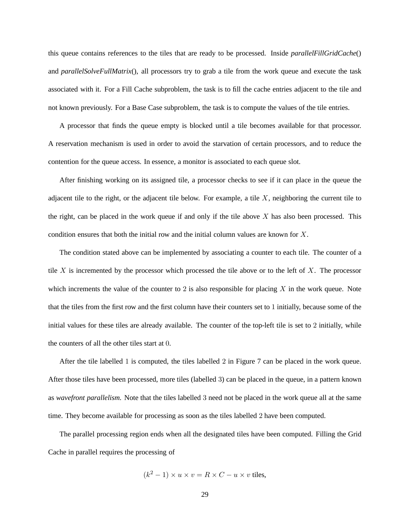this queue contains references to the tiles that are ready to be processed. Inside *parallelFillGridCache*() and *parallelSolveFullMatrix*(), all processors try to grab a tile from the work queue and execute the task associated with it. For a Fill Cache subproblem, the task is to fill the cache entries adjacent to the tile and not known previously. For a Base Case subproblem, the task is to compute the values of the tile entries.

A processor that finds the queue empty is blocked until a tile becomes available for that processor. A reservation mechanism is used in order to avoid the starvation of certain processors, and to reduce the contention for the queue access. In essence, a monitor is associated to each queue slot.

After finishing working on its assigned tile, a processor checks to see if it can place in the queue the adjacent tile to the right, or the adjacent tile below. For example, a tile  $X$ , neighboring the current tile to the right, can be placed in the work queue if and only if the tile above  $X$  has also been processed. This condition ensures that both the initial row and the initial column values are known for X.

The condition stated above can be implemented by associating a counter to each tile. The counter of a tile X is incremented by the processor which processed the tile above or to the left of X. The processor which increments the value of the counter to 2 is also responsible for placing  $X$  in the work queue. Note that the tiles from the first row and the first column have their counters set to 1 initially, because some of the initial values for these tiles are already available. The counter of the top-left tile is set to 2 initially, while the counters of all the other tiles start at 0.

After the tile labelled 1 is computed, the tiles labelled 2 in Figure 7 can be placed in the work queue. After those tiles have been processed, more tiles (labelled 3) can be placed in the queue, in a pattern known as *wavefront parallelism.* Note that the tiles labelled 3 need not be placed in the work queue all at the same time. They become available for processing as soon as the tiles labelled 2 have been computed.

The parallel processing region ends when all the designated tiles have been computed. Filling the Grid Cache in parallel requires the processing of

$$
(k2 - 1) \times u \times v = R \times C - u \times v
$$
 tiles,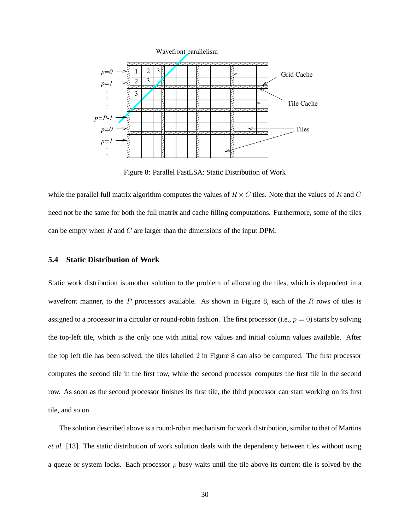

Figure 8: Parallel FastLSA: Static Distribution of Work

while the parallel full matrix algorithm computes the values of  $R \times C$  tiles. Note that the values of R and C need not be the same for both the full matrix and cache filling computations. Furthermore, some of the tiles can be empty when  $R$  and  $C$  are larger than the dimensions of the input DPM.

#### **5.4 Static Distribution of Work**

Static work distribution is another solution to the problem of allocating the tiles, which is dependent in a wavefront manner, to the  $P$  processors available. As shown in Figure 8, each of the  $R$  rows of tiles is assigned to a processor in a circular or round-robin fashion. The first processor (i.e.,  $p = 0$ ) starts by solving the top-left tile, which is the only one with initial row values and initial column values available. After the top left tile has been solved, the tiles labelled 2 in Figure 8 can also be computed. The first processor computes the second tile in the first row, while the second processor computes the first tile in the second row. As soon as the second processor finishes its first tile, the third processor can start working on its first tile, and so on.

The solution described above is a round-robin mechanism for work distribution, similar to that of Martins *et al.* [13]. The static distribution of work solution deals with the dependency between tiles without using a queue or system locks. Each processor  $p$  busy waits until the tile above its current tile is solved by the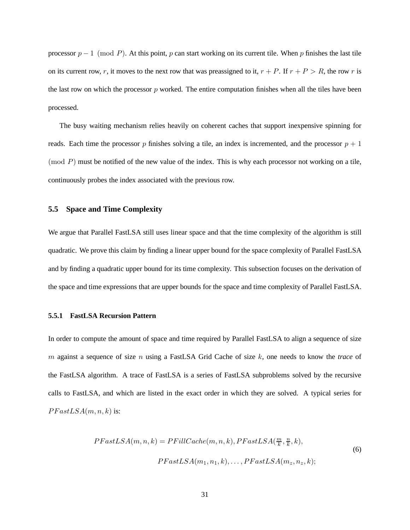processor  $p-1 \pmod{P}$ . At this point, p can start working on its current tile. When p finishes the last tile on its current row, r, it moves to the next row that was preassigned to it,  $r + P$ . If  $r + P > R$ , the row r is the last row on which the processor  $p$  worked. The entire computation finishes when all the tiles have been processed.

The busy waiting mechanism relies heavily on coherent caches that support inexpensive spinning for reads. Each time the processor p finishes solving a tile, an index is incremented, and the processor  $p + 1$  $p \mod{P}$  must be notified of the new value of the index. This is why each processor not working on a tile, continuously probes the index associated with the previous row.

#### **5.5 Space and Time Complexity**

We argue that Parallel FastLSA still uses linear space and that the time complexity of the algorithm is still quadratic. We prove this claim by finding a linear upper bound for the space complexity of Parallel FastLSA and by finding a quadratic upper bound for its time complexity. This subsection focuses on the derivation of the space and time expressions that are upper bounds for the space and time complexity of Parallel FastLSA.

#### **5.5.1 FastLSA Recursion Pattern**

In order to compute the amount of space and time required by Parallel FastLSA to align a sequence of size m against a sequence of size n using a FastLSA Grid Cache of size k, one needs to know the *trace* of the FastLSA algorithm. A trace of FastLSA is a series of FastLSA subproblems solved by the recursive calls to FastLSA, and which are listed in the exact order in which they are solved. A typical series for  $P FastLSA(m, n, k)$  is:

$$
PFastLSA(m, n, k) = PFillCache(m, n, k), PFastLSA(\frac{m}{k}, \frac{n}{k}, k),
$$
  
(6)  

$$
PFastLSA(m_1, n_1, k), \dots, PFastLSA(m_z, n_z, k);
$$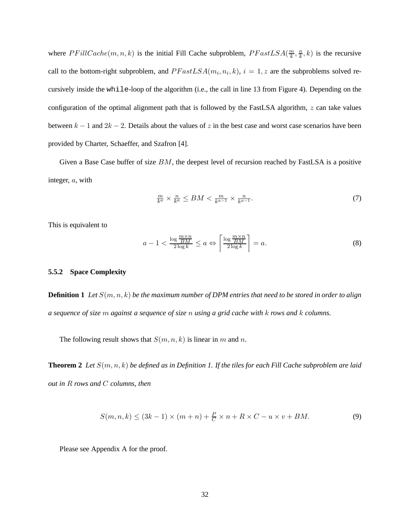where  $PFillCache(m,n,k)$  is the initial Fill Cache subproblem,  $PFastLSA(\frac{m}{k})$  $\frac{m}{k}, \frac{n}{k}$  $(\frac{n}{k}, k)$  is the recursive call to the bottom-right subproblem, and  $PFastLSA(m_i, n_i, k)$ ,  $i = 1, z$  are the subproblems solved recursively inside the while-loop of the algorithm (i.e., the call in line 13 from Figure 4). Depending on the configuration of the optimal alignment path that is followed by the FastLSA algorithm,  $z$  can take values between  $k - 1$  and  $2k - 2$ . Details about the values of z in the best case and worst case scenarios have been provided by Charter, Schaeffer, and Szafron [4].

Given a Base Case buffer of size  $BM$ , the deepest level of recursion reached by FastLSA is a positive integer, a, with

$$
\frac{m}{k^a} \times \frac{n}{k^a} \le BM < \frac{m}{k^{a-1}} \times \frac{n}{k^{a-1}}.\tag{7}
$$

This is equivalent to

$$
a - 1 < \frac{\log \frac{m \times n}{BM}}{2 \log k} \le a \Leftrightarrow \left\lceil \frac{\log \frac{m \times n}{BM}}{2 \log k} \right\rceil = a. \tag{8}
$$

#### **5.5.2 Space Complexity**

**Definition 1** *Let* S(m, n, k) *be the maximum number of DPM entries that need to be stored in order to align a sequence of size* m *against a sequence of size* n *using a grid cache with* k *rows and* k *columns.*

The following result shows that  $S(m, n, k)$  is linear in m and n.

**Theorem 2** *Let* S(m, n, k) *be defined as in Definition 1. If the tiles for each Fill Cache subproblem are laid out in* R *rows and* C *columns, then*

$$
S(m,n,k) \le (3k-1) \times (m+n) + \frac{P}{C} \times n + R \times C - u \times v + BM. \tag{9}
$$

Please see Appendix A for the proof.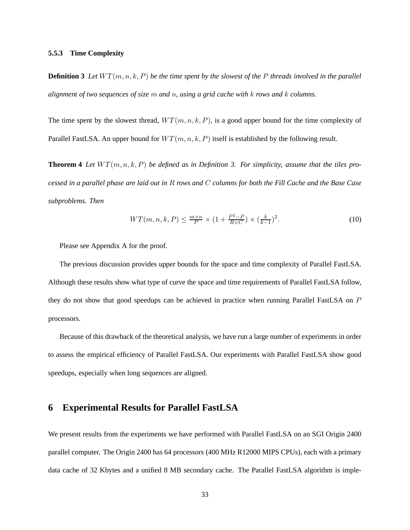#### **5.5.3 Time Complexity**

**Definition 3** Let  $WT(m, n, k, P)$  be the time spent by the slowest of the P threads involved in the parallel *alignment of two sequences of size* m *and* n*, using a grid cache with* k *rows and* k *columns.*

The time spent by the slowest thread,  $WT(m, n, k, P)$ , is a good upper bound for the time complexity of Parallel FastLSA. An upper bound for  $WT(m, n, k, P)$  itself is established by the following result.

**Theorem 4** Let  $WT(m, n, k, P)$  be defined as in Definition 3. For simplicity, assume that the tiles pro*cessed in a parallel phase are laid out in* R *rows and* C *columns for both the Fill Cache and the Base Case subproblems. Then*

$$
WT(m, n, k, P) \le \frac{m \times n}{P} \times (1 + \frac{P^2 - P}{R \times C}) \times (\frac{k}{k - 1})^2.
$$
 (10)

Please see Appendix A for the proof.

The previous discussion provides upper bounds for the space and time complexity of Parallel FastLSA. Although these results show what type of curve the space and time requirements of Parallel FastLSA follow, they do not show that good speedups can be achieved in practice when running Parallel FastLSA on P processors.

Because of this drawback of the theoretical analysis, we have run a large number of experiments in order to assess the empirical efficiency of Parallel FastLSA. Our experiments with Parallel FastLSA show good speedups, especially when long sequences are aligned.

## **6 Experimental Results for Parallel FastLSA**

We present results from the experiments we have performed with Parallel FastLSA on an SGI Origin 2400 parallel computer. The Origin 2400 has 64 processors (400 MHz R12000 MIPS CPUs), each with a primary data cache of 32 Kbytes and a unified 8 MB secondary cache. The Parallel FastLSA algorithm is imple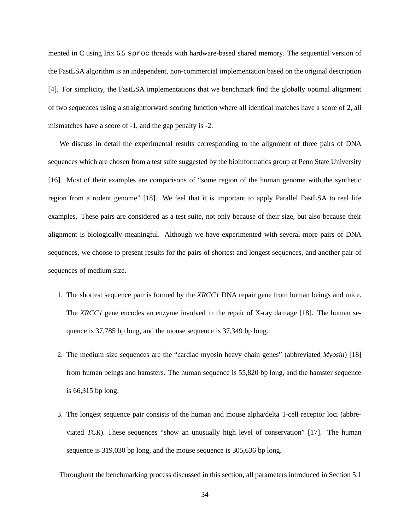mented in C using Irix 6.5 sproc threads with hardware-based shared memory. The sequential version of the FastLSA algorithm is an independent, non-commercial implementation based on the original description [4]. For simplicity, the FastLSA implementations that we benchmark find the globally optimal alignment of two sequences using a straightforward scoring function where all identical matches have a score of 2, all mismatches have a score of -1, and the gap penalty is -2.

We discuss in detail the experimental results corresponding to the alignment of three pairs of DNA sequences which are chosen from a test suite suggested by the bioinformatics group at Penn State University [16]. Most of their examples are comparisons of "some region of the human genome with the synthetic region from a rodent genome" [18]. We feel that it is important to apply Parallel FastLSA to real life examples. These pairs are considered as a test suite, not only because of their size, but also because their alignment is biologically meaningful. Although we have experimented with several more pairs of DNA sequences, we choose to present results for the pairs of shortest and longest sequences, and another pair of sequences of medium size.

- 1. The shortest sequence pair is formed by the *XRCC1* DNA repair gene from human beings and mice. The *XRCC1* gene encodes an enzyme involved in the repair of X-ray damage [18]. The human sequence is 37,785 bp long, and the mouse sequence is 37,349 bp long.
- 2. The medium size sequences are the "cardiac myosin heavy chain genes" (abbreviated *Myosin*) [18] from human beings and hamsters. The human sequence is 55,820 bp long, and the hamster sequence is 66,315 bp long.
- 3. The longest sequence pair consists of the human and mouse alpha/delta T-cell receptor loci (abbreviated *TCR*). These sequences "show an unusually high level of conservation" [17]. The human sequence is 319,030 bp long, and the mouse sequence is 305,636 bp long.

Throughout the benchmarking process discussed in this section, all parameters introduced in Section 5.1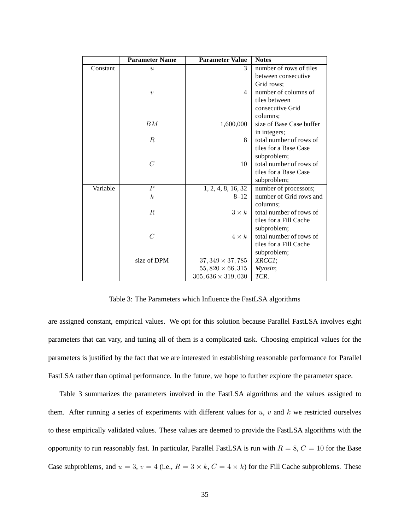|          | <b>Parameter Name</b> | <b>Parameter Value</b>   | <b>Notes</b>             |
|----------|-----------------------|--------------------------|--------------------------|
| Constant | $\boldsymbol{u}$      | 3                        | number of rows of tiles  |
|          |                       |                          | between consecutive      |
|          |                       |                          | Grid rows;               |
|          | $\boldsymbol{v}$      | 4                        | number of columns of     |
|          |                       |                          | tiles between            |
|          |                       |                          | consecutive Grid         |
|          |                       |                          | columns;                 |
|          | BM                    | 1,600,000                | size of Base Case buffer |
|          |                       |                          | in integers;             |
|          | R                     | 8                        | total number of rows of  |
|          |                       |                          | tiles for a Base Case    |
|          |                       |                          | subproblem;              |
|          | $\overline{C}$        | 10                       | total number of rows of  |
|          |                       |                          | tiles for a Base Case    |
|          |                       |                          | subproblem;              |
| Variable | $\overline{P}$        | 1, 2, 4, 8, 16, 32       | number of processors;    |
|          | $\boldsymbol{k}$      | $8 - 12$                 | number of Grid rows and  |
|          |                       |                          | columns;                 |
|          | R.                    | $3 \times k$             | total number of rows of  |
|          |                       |                          | tiles for a Fill Cache   |
|          |                       |                          | subproblem;              |
|          | $\overline{C}$        | $4 \times k$             | total number of rows of  |
|          |                       |                          | tiles for a Fill Cache   |
|          |                       |                          | subproblem;              |
|          | size of DPM           | $37,349 \times 37,785$   | XRCC1;                   |
|          |                       | $55,820 \times 66,315$   | Myosin;                  |
|          |                       | $305,636 \times 319,030$ | TCR.                     |

Table 3: The Parameters which Influence the FastLSA algorithms

are assigned constant, empirical values. We opt for this solution because Parallel FastLSA involves eight parameters that can vary, and tuning all of them is a complicated task. Choosing empirical values for the parameters is justified by the fact that we are interested in establishing reasonable performance for Parallel FastLSA rather than optimal performance. In the future, we hope to further explore the parameter space.

Table 3 summarizes the parameters involved in the FastLSA algorithms and the values assigned to them. After running a series of experiments with different values for  $u$ ,  $v$  and  $k$  we restricted ourselves to these empirically validated values. These values are deemed to provide the FastLSA algorithms with the opportunity to run reasonably fast. In particular, Parallel FastLSA is run with  $R = 8$ ,  $C = 10$  for the Base Case subproblems, and  $u = 3$ ,  $v = 4$  (i.e.,  $R = 3 \times k$ ,  $C = 4 \times k$ ) for the Fill Cache subproblems. These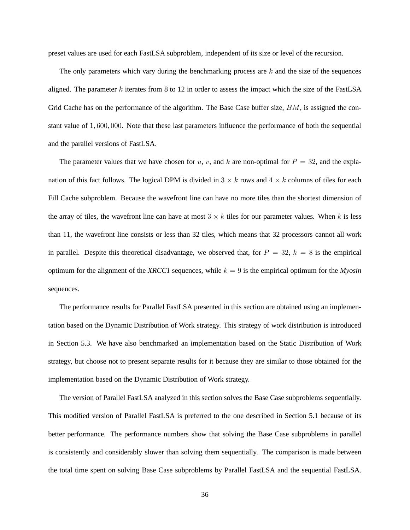preset values are used for each FastLSA subproblem, independent of its size or level of the recursion.

The only parameters which vary during the benchmarking process are  $k$  and the size of the sequences aligned. The parameter k iterates from 8 to 12 in order to assess the impact which the size of the FastLSA Grid Cache has on the performance of the algorithm. The Base Case buffer size,  $BM$ , is assigned the constant value of 1, 600, 000. Note that these last parameters influence the performance of both the sequential and the parallel versions of FastLSA.

The parameter values that we have chosen for u, v, and k are non-optimal for  $P = 32$ , and the explanation of this fact follows. The logical DPM is divided in  $3 \times k$  rows and  $4 \times k$  columns of tiles for each Fill Cache subproblem. Because the wavefront line can have no more tiles than the shortest dimension of the array of tiles, the wavefront line can have at most  $3 \times k$  tiles for our parameter values. When k is less than 11, the wavefront line consists or less than 32 tiles, which means that 32 processors cannot all work in parallel. Despite this theoretical disadvantage, we observed that, for  $P = 32$ ,  $k = 8$  is the empirical optimum for the alignment of the *XRCC1* sequences, while  $k = 9$  is the empirical optimum for the *Myosin* sequences.

The performance results for Parallel FastLSA presented in this section are obtained using an implementation based on the Dynamic Distribution of Work strategy. This strategy of work distribution is introduced in Section 5.3. We have also benchmarked an implementation based on the Static Distribution of Work strategy, but choose not to present separate results for it because they are similar to those obtained for the implementation based on the Dynamic Distribution of Work strategy.

The version of Parallel FastLSA analyzed in this section solves the Base Case subproblems sequentially. This modified version of Parallel FastLSA is preferred to the one described in Section 5.1 because of its better performance. The performance numbers show that solving the Base Case subproblems in parallel is consistently and considerably slower than solving them sequentially. The comparison is made between the total time spent on solving Base Case subproblems by Parallel FastLSA and the sequential FastLSA.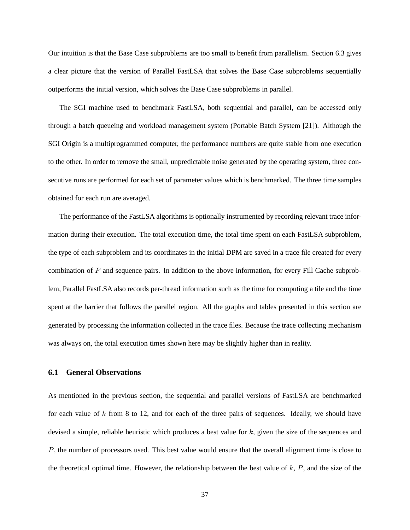Our intuition is that the Base Case subproblems are too small to benefit from parallelism. Section 6.3 gives a clear picture that the version of Parallel FastLSA that solves the Base Case subproblems sequentially outperforms the initial version, which solves the Base Case subproblems in parallel.

The SGI machine used to benchmark FastLSA, both sequential and parallel, can be accessed only through a batch queueing and workload management system (Portable Batch System [21]). Although the SGI Origin is a multiprogrammed computer, the performance numbers are quite stable from one execution to the other. In order to remove the small, unpredictable noise generated by the operating system, three consecutive runs are performed for each set of parameter values which is benchmarked. The three time samples obtained for each run are averaged.

The performance of the FastLSA algorithms is optionally instrumented by recording relevant trace information during their execution. The total execution time, the total time spent on each FastLSA subproblem, the type of each subproblem and its coordinates in the initial DPM are saved in a trace file created for every combination of  $P$  and sequence pairs. In addition to the above information, for every Fill Cache subproblem, Parallel FastLSA also records per-thread information such as the time for computing a tile and the time spent at the barrier that follows the parallel region. All the graphs and tables presented in this section are generated by processing the information collected in the trace files. Because the trace collecting mechanism was always on, the total execution times shown here may be slightly higher than in reality.

## **6.1 General Observations**

As mentioned in the previous section, the sequential and parallel versions of FastLSA are benchmarked for each value of  $k$  from 8 to 12, and for each of the three pairs of sequences. Ideally, we should have devised a simple, reliable heuristic which produces a best value for k, given the size of the sequences and P, the number of processors used. This best value would ensure that the overall alignment time is close to the theoretical optimal time. However, the relationship between the best value of  $k$ ,  $P$ , and the size of the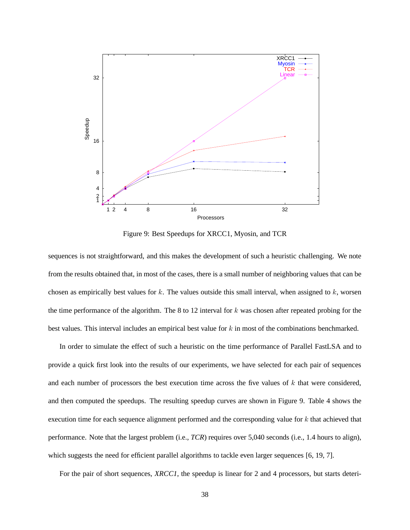

Figure 9: Best Speedups for XRCC1, Myosin, and TCR

sequences is not straightforward, and this makes the development of such a heuristic challenging. We note from the results obtained that, in most of the cases, there is a small number of neighboring values that can be chosen as empirically best values for  $k$ . The values outside this small interval, when assigned to  $k$ , worsen the time performance of the algorithm. The 8 to 12 interval for  $k$  was chosen after repeated probing for the best values. This interval includes an empirical best value for k in most of the combinations benchmarked.

In order to simulate the effect of such a heuristic on the time performance of Parallel FastLSA and to provide a quick first look into the results of our experiments, we have selected for each pair of sequences and each number of processors the best execution time across the five values of  $k$  that were considered, and then computed the speedups. The resulting speedup curves are shown in Figure 9. Table 4 shows the execution time for each sequence alignment performed and the corresponding value for k that achieved that performance. Note that the largest problem (i.e., *TCR*) requires over 5,040 seconds (i.e., 1.4 hours to align), which suggests the need for efficient parallel algorithms to tackle even larger sequences [6, 19, 7].

For the pair of short sequences, *XRCC1*, the speedup is linear for 2 and 4 processors, but starts deteri-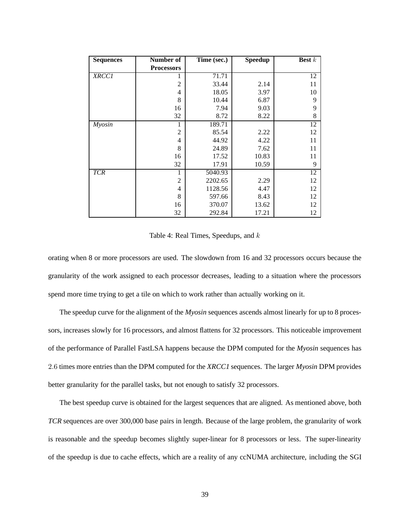| <b>Sequences</b> | Number of         | Time (sec.) | <b>Speedup</b> | <b>Best</b> $k$ |
|------------------|-------------------|-------------|----------------|-----------------|
|                  | <b>Processors</b> |             |                |                 |
| <b>XRCC1</b>     |                   | 71.71       |                | 12              |
|                  | 2                 | 33.44       | 2.14           | 11              |
|                  | $\overline{4}$    | 18.05       | 3.97           | 10              |
|                  | 8                 | 10.44       | 6.87           | 9               |
|                  | 16                | 7.94        | 9.03           | 9               |
|                  | 32                | 8.72        | 8.22           | 8               |
| Myosin           | 1                 | 189.71      |                | 12              |
|                  | 2                 | 85.54       | 2.22           | 12              |
|                  | 4                 | 44.92       | 4.22           | 11              |
|                  | 8                 | 24.89       | 7.62           | 11              |
|                  | 16                | 17.52       | 10.83          | 11              |
|                  | 32                | 17.91       | 10.59          | 9               |
| <b>TCR</b>       | 1                 | 5040.93     |                | 12              |
|                  | $\overline{2}$    | 2202.65     | 2.29           | 12              |
|                  | 4                 | 1128.56     | 4.47           | 12              |
|                  | 8                 | 597.66      | 8.43           | 12              |
|                  | 16                | 370.07      | 13.62          | 12              |
|                  | 32                | 292.84      | 17.21          | 12              |

Table 4: Real Times, Speedups, and k

orating when 8 or more processors are used. The slowdown from 16 and 32 processors occurs because the granularity of the work assigned to each processor decreases, leading to a situation where the processors spend more time trying to get a tile on which to work rather than actually working on it.

The speedup curve for the alignment of the *Myosin* sequences ascends almost linearly for up to 8 processors, increases slowly for 16 processors, and almost flattens for 32 processors. This noticeable improvement of the performance of Parallel FastLSA happens because the DPM computed for the *Myosin* sequences has 2.6 times more entries than the DPM computed for the *XRCC1* sequences. The larger *Myosin* DPM provides better granularity for the parallel tasks, but not enough to satisfy 32 processors.

The best speedup curve is obtained for the largest sequences that are aligned. As mentioned above, both *TCR* sequences are over 300,000 base pairs in length. Because of the large problem, the granularity of work is reasonable and the speedup becomes slightly super-linear for 8 processors or less. The super-linearity of the speedup is due to cache effects, which are a reality of any ccNUMA architecture, including the SGI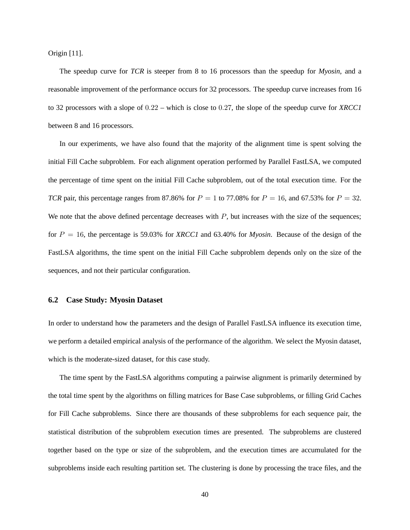Origin [11].

The speedup curve for *TCR* is steeper from 8 to 16 processors than the speedup for *Myosin*, and a reasonable improvement of the performance occurs for 32 processors. The speedup curve increases from 16 to 32 processors with a slope of 0.22 – which is close to 0.27, the slope of the speedup curve for *XRCC1* between 8 and 16 processors.

In our experiments, we have also found that the majority of the alignment time is spent solving the initial Fill Cache subproblem. For each alignment operation performed by Parallel FastLSA, we computed the percentage of time spent on the initial Fill Cache subproblem, out of the total execution time. For the *TCR* pair, this percentage ranges from 87.86% for  $P = 1$  to 77.08% for  $P = 16$ , and 67.53% for  $P = 32$ . We note that the above defined percentage decreases with  $P$ , but increases with the size of the sequences; for P = 16, the percentage is 59.03% for *XRCC1* and 63.40% for *Myosin*. Because of the design of the FastLSA algorithms, the time spent on the initial Fill Cache subproblem depends only on the size of the sequences, and not their particular configuration.

#### **6.2 Case Study: Myosin Dataset**

In order to understand how the parameters and the design of Parallel FastLSA influence its execution time, we perform a detailed empirical analysis of the performance of the algorithm. We select the Myosin dataset, which is the moderate-sized dataset, for this case study.

The time spent by the FastLSA algorithms computing a pairwise alignment is primarily determined by the total time spent by the algorithms on filling matrices for Base Case subproblems, or filling Grid Caches for Fill Cache subproblems. Since there are thousands of these subproblems for each sequence pair, the statistical distribution of the subproblem execution times are presented. The subproblems are clustered together based on the type or size of the subproblem, and the execution times are accumulated for the subproblems inside each resulting partition set. The clustering is done by processing the trace files, and the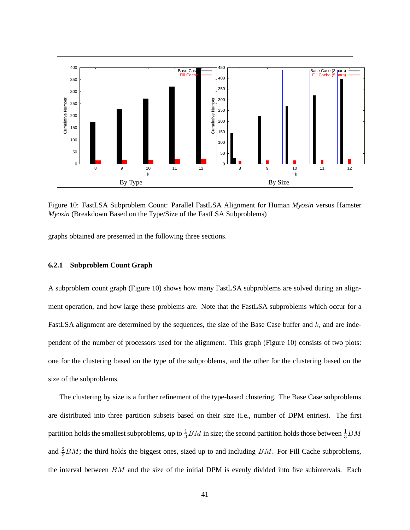

Figure 10: FastLSA Subproblem Count: Parallel FastLSA Alignment for Human *Myosin* versus Hamster *Myosin* (Breakdown Based on the Type/Size of the FastLSA Subproblems)

graphs obtained are presented in the following three sections.

#### **6.2.1 Subproblem Count Graph**

A subproblem count graph (Figure 10) shows how many FastLSA subproblems are solved during an alignment operation, and how large these problems are. Note that the FastLSA subproblems which occur for a FastLSA alignment are determined by the sequences, the size of the Base Case buffer and  $k$ , and are independent of the number of processors used for the alignment. This graph (Figure 10) consists of two plots: one for the clustering based on the type of the subproblems, and the other for the clustering based on the size of the subproblems.

The clustering by size is a further refinement of the type-based clustering. The Base Case subproblems are distributed into three partition subsets based on their size (i.e., number of DPM entries). The first partition holds the smallest subproblems, up to  $\frac{1}{3}BM$  in size; the second partition holds those between  $\frac{1}{3}BM$ and  $\frac{2}{3}BM$ ; the third holds the biggest ones, sized up to and including  $BM$ . For Fill Cache subproblems, the interval between  $BM$  and the size of the initial DPM is evenly divided into five subintervals. Each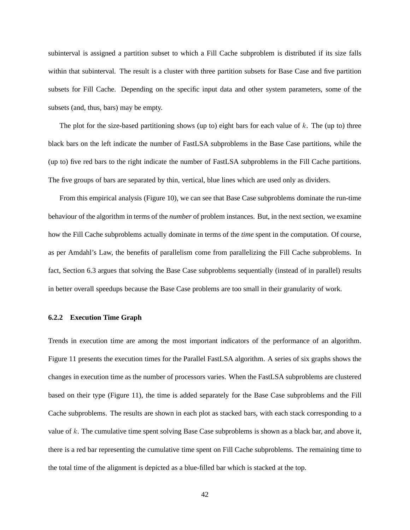subinterval is assigned a partition subset to which a Fill Cache subproblem is distributed if its size falls within that subinterval. The result is a cluster with three partition subsets for Base Case and five partition subsets for Fill Cache. Depending on the specific input data and other system parameters, some of the subsets (and, thus, bars) may be empty.

The plot for the size-based partitioning shows (up to) eight bars for each value of  $k$ . The (up to) three black bars on the left indicate the number of FastLSA subproblems in the Base Case partitions, while the (up to) five red bars to the right indicate the number of FastLSA subproblems in the Fill Cache partitions. The five groups of bars are separated by thin, vertical, blue lines which are used only as dividers.

From this empirical analysis (Figure 10), we can see that Base Case subproblems dominate the run-time behaviour of the algorithm in terms of the *number* of problem instances. But, in the next section, we examine how the Fill Cache subproblems actually dominate in terms of the *time* spent in the computation. Of course, as per Amdahl's Law, the benefits of parallelism come from parallelizing the Fill Cache subproblems. In fact, Section 6.3 argues that solving the Base Case subproblems sequentially (instead of in parallel) results in better overall speedups because the Base Case problems are too small in their granularity of work.

#### **6.2.2 Execution Time Graph**

Trends in execution time are among the most important indicators of the performance of an algorithm. Figure 11 presents the execution times for the Parallel FastLSA algorithm. A series of six graphs shows the changes in execution time as the number of processors varies. When the FastLSA subproblems are clustered based on their type (Figure 11), the time is added separately for the Base Case subproblems and the Fill Cache subproblems. The results are shown in each plot as stacked bars, with each stack corresponding to a value of k. The cumulative time spent solving Base Case subproblems is shown as a black bar, and above it, there is a red bar representing the cumulative time spent on Fill Cache subproblems. The remaining time to the total time of the alignment is depicted as a blue-filled bar which is stacked at the top.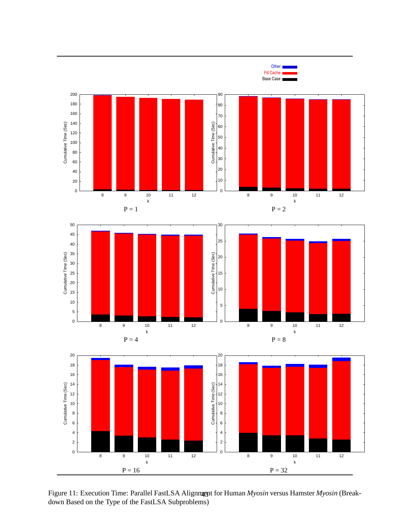

Figure 11: Execution Time: Parallel FastLSA Alignment for Human *Myosin* versus Hamster *Myosin* (Breakdown Based on the Type of the FastLSA Subproblems)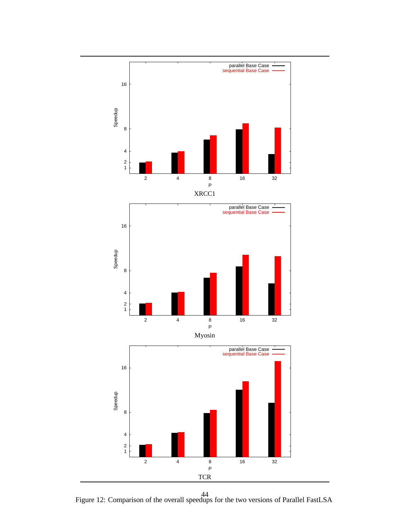

Figure 12: Comparison of the overall speedups for the two versions of Parallel FastLSA 44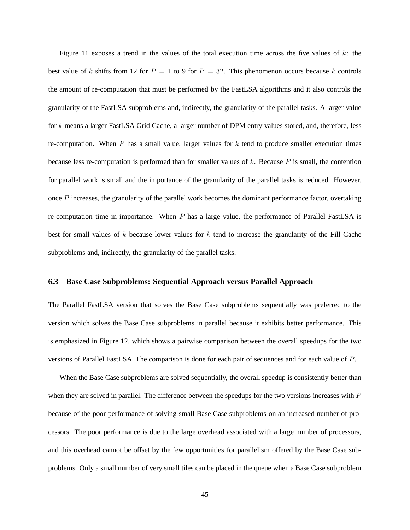Figure 11 exposes a trend in the values of the total execution time across the five values of  $k$ : the best value of k shifts from 12 for  $P = 1$  to 9 for  $P = 32$ . This phenomenon occurs because k controls the amount of re-computation that must be performed by the FastLSA algorithms and it also controls the granularity of the FastLSA subproblems and, indirectly, the granularity of the parallel tasks. A larger value for k means a larger FastLSA Grid Cache, a larger number of DPM entry values stored, and, therefore, less re-computation. When  $P$  has a small value, larger values for  $k$  tend to produce smaller execution times because less re-computation is performed than for smaller values of  $k$ . Because  $P$  is small, the contention for parallel work is small and the importance of the granularity of the parallel tasks is reduced. However, once P increases, the granularity of the parallel work becomes the dominant performance factor, overtaking re-computation time in importance. When  $P$  has a large value, the performance of Parallel FastLSA is best for small values of  $k$  because lower values for  $k$  tend to increase the granularity of the Fill Cache subproblems and, indirectly, the granularity of the parallel tasks.

#### **6.3 Base Case Subproblems: Sequential Approach versus Parallel Approach**

The Parallel FastLSA version that solves the Base Case subproblems sequentially was preferred to the version which solves the Base Case subproblems in parallel because it exhibits better performance. This is emphasized in Figure 12, which shows a pairwise comparison between the overall speedups for the two versions of Parallel FastLSA. The comparison is done for each pair of sequences and for each value of P.

When the Base Case subproblems are solved sequentially, the overall speedup is consistently better than when they are solved in parallel. The difference between the speedups for the two versions increases with  $P$ because of the poor performance of solving small Base Case subproblems on an increased number of processors. The poor performance is due to the large overhead associated with a large number of processors, and this overhead cannot be offset by the few opportunities for parallelism offered by the Base Case subproblems. Only a small number of very small tiles can be placed in the queue when a Base Case subproblem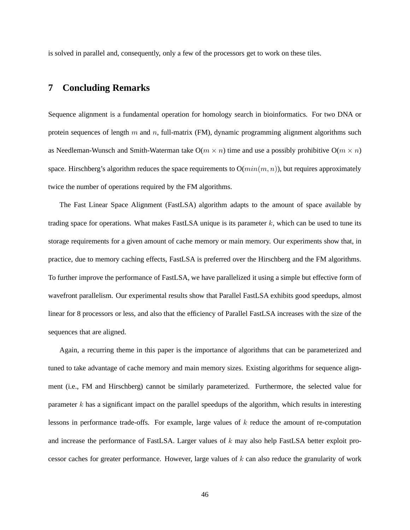is solved in parallel and, consequently, only a few of the processors get to work on these tiles.

## **7 Concluding Remarks**

Sequence alignment is a fundamental operation for homology search in bioinformatics. For two DNA or protein sequences of length  $m$  and  $n$ , full-matrix (FM), dynamic programming alignment algorithms such as Needleman-Wunsch and Smith-Waterman take  $O(m \times n)$  time and use a possibly prohibitive  $O(m \times n)$ space. Hirschberg's algorithm reduces the space requirements to  $O(min(m, n))$ , but requires approximately twice the number of operations required by the FM algorithms.

The Fast Linear Space Alignment (FastLSA) algorithm adapts to the amount of space available by trading space for operations. What makes FastLSA unique is its parameter  $k$ , which can be used to tune its storage requirements for a given amount of cache memory or main memory. Our experiments show that, in practice, due to memory caching effects, FastLSA is preferred over the Hirschberg and the FM algorithms. To further improve the performance of FastLSA, we have parallelized it using a simple but effective form of wavefront parallelism. Our experimental results show that Parallel FastLSA exhibits good speedups, almost linear for 8 processors or less, and also that the efficiency of Parallel FastLSA increases with the size of the sequences that are aligned.

Again, a recurring theme in this paper is the importance of algorithms that can be parameterized and tuned to take advantage of cache memory and main memory sizes. Existing algorithms for sequence alignment (i.e., FM and Hirschberg) cannot be similarly parameterized. Furthermore, the selected value for parameter k has a significant impact on the parallel speedups of the algorithm, which results in interesting lessons in performance trade-offs. For example, large values of  $k$  reduce the amount of re-computation and increase the performance of FastLSA. Larger values of  $k$  may also help FastLSA better exploit processor caches for greater performance. However, large values of k can also reduce the granularity of work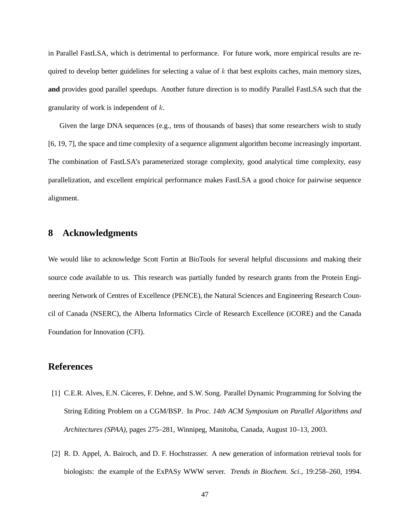in Parallel FastLSA, which is detrimental to performance. For future work, more empirical results are required to develop better guidelines for selecting a value of  $k$  that best exploits caches, main memory sizes, **and** provides good parallel speedups. Another future direction is to modify Parallel FastLSA such that the granularity of work is independent of k.

Given the large DNA sequences (e.g., tens of thousands of bases) that some researchers wish to study [6, 19, 7], the space and time complexity of a sequence alignment algorithm become increasingly important. The combination of FastLSA's parameterized storage complexity, good analytical time complexity, easy parallelization, and excellent empirical performance makes FastLSA a good choice for pairwise sequence alignment.

## **8 Acknowledgments**

We would like to acknowledge Scott Fortin at BioTools for several helpful discussions and making their source code available to us. This research was partially funded by research grants from the Protein Engineering Network of Centres of Excellence (PENCE), the Natural Sciences and Engineering Research Council of Canada (NSERC), the Alberta Informatics Circle of Research Excellence (iCORE) and the Canada Foundation for Innovation (CFI).

## **References**

- [1] C.E.R. Alves, E.N. Cáceres, F. Dehne, and S.W. Song. Parallel Dynamic Programming for Solving the String Editing Problem on a CGM/BSP. In *Proc. 14th ACM Symposium on Parallel Algorithms and Architectures (SPAA)*, pages 275–281, Winnipeg, Manitoba, Canada, August 10–13, 2003.
- [2] R. D. Appel, A. Bairoch, and D. F. Hochstrasser. A new generation of information retrieval tools for biologists: the example of the ExPASy WWW server. *Trends in Biochem. Sci.*, 19:258–260, 1994.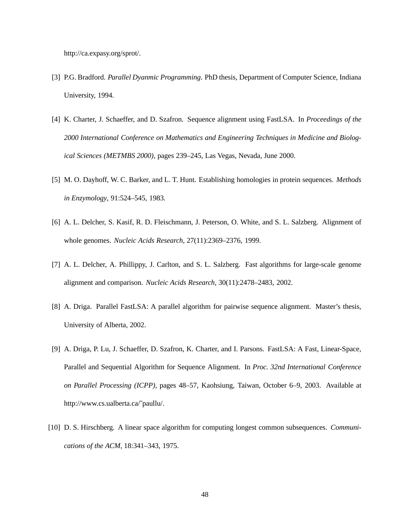http://ca.expasy.org/sprot/.

- [3] P.G. Bradford. *Parallel Dyanmic Programming*. PhD thesis, Department of Computer Science, Indiana University, 1994.
- [4] K. Charter, J. Schaeffer, and D. Szafron. Sequence alignment using FastLSA. In *Proceedings of the 2000 International Conference on Mathematics and Engineering Techniques in Medicine and Biological Sciences (METMBS 2000)*, pages 239–245, Las Vegas, Nevada, June 2000.
- [5] M. O. Dayhoff, W. C. Barker, and L. T. Hunt. Establishing homologies in protein sequences. *Methods in Enzymology*, 91:524–545, 1983.
- [6] A. L. Delcher, S. Kasif, R. D. Fleischmann, J. Peterson, O. White, and S. L. Salzberg. Alignment of whole genomes. *Nucleic Acids Research*, 27(11):2369–2376, 1999.
- [7] A. L. Delcher, A. Phillippy, J. Carlton, and S. L. Salzberg. Fast algorithms for large-scale genome alignment and comparison. *Nucleic Acids Research*, 30(11):2478–2483, 2002.
- [8] A. Driga. Parallel FastLSA: A parallel algorithm for pairwise sequence alignment. Master's thesis, University of Alberta, 2002.
- [9] A. Driga, P. Lu, J. Schaeffer, D. Szafron, K. Charter, and I. Parsons. FastLSA: A Fast, Linear-Space, Parallel and Sequential Algorithm for Sequence Alignment. In *Proc. 32nd International Conference on Parallel Processing (ICPP)*, pages 48–57, Kaohsiung, Taiwan, October 6–9, 2003. Available at http://www.cs.ualberta.ca/˜paullu/.
- [10] D. S. Hirschberg. A linear space algorithm for computing longest common subsequences. *Communications of the ACM*, 18:341–343, 1975.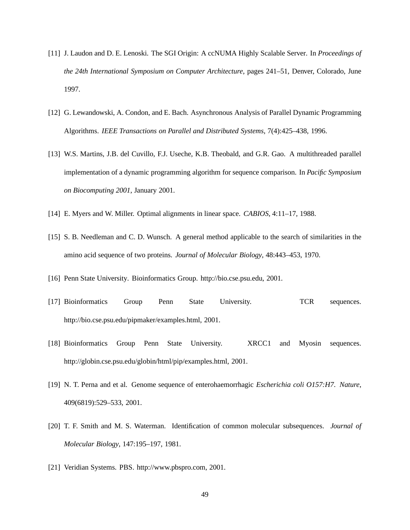- [11] J. Laudon and D. E. Lenoski. The SGI Origin: A ccNUMA Highly Scalable Server. In *Proceedings of the 24th International Symposium on Computer Architecture*, pages 241–51, Denver, Colorado, June 1997.
- [12] G. Lewandowski, A. Condon, and E. Bach. Asynchronous Analysis of Parallel Dynamic Programming Algorithms. *IEEE Transactions on Parallel and Distributed Systems*, 7(4):425–438, 1996.
- [13] W.S. Martins, J.B. del Cuvillo, F.J. Useche, K.B. Theobald, and G.R. Gao. A multithreaded parallel implementation of a dynamic programming algorithm for sequence comparison. In *Pacific Symposium on Biocomputing 2001*, January 2001.
- [14] E. Myers and W. Miller. Optimal alignments in linear space. *CABIOS*, 4:11–17, 1988.
- [15] S. B. Needleman and C. D. Wunsch. A general method applicable to the search of similarities in the amino acid sequence of two proteins. *Journal of Molecular Biology*, 48:443–453, 1970.
- [16] Penn State University. Bioinformatics Group. http://bio.cse.psu.edu, 2001.
- [17] Bioinformatics Group Penn State University. TCR sequences. http://bio.cse.psu.edu/pipmaker/examples.html, 2001.
- [18] Bioinformatics Group Penn State University. XRCC1 and Myosin sequences. http://globin.cse.psu.edu/globin/html/pip/examples.html, 2001.
- [19] N. T. Perna and et al. Genome sequence of enterohaemorrhagic *Escherichia coli O157:H7*. *Nature*, 409(6819):529–533, 2001.
- [20] T. F. Smith and M. S. Waterman. Identification of common molecular subsequences. *Journal of Molecular Biology*, 147:195–197, 1981.
- [21] Veridian Systems. PBS. http://www.pbspro.com, 2001.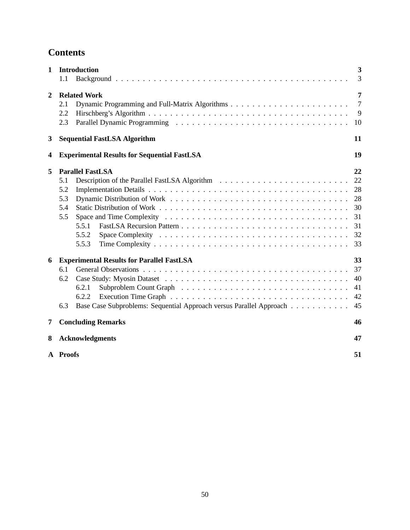## **Contents**

| $\mathbf{1}$   | <b>Introduction</b>                                                                                                    | 3  |  |  |  |  |  |  |
|----------------|------------------------------------------------------------------------------------------------------------------------|----|--|--|--|--|--|--|
|                | 1.1                                                                                                                    | 3  |  |  |  |  |  |  |
| $\overline{2}$ | <b>Related Work</b>                                                                                                    |    |  |  |  |  |  |  |
|                | 2.1                                                                                                                    | 7  |  |  |  |  |  |  |
|                | 2.2                                                                                                                    | 9  |  |  |  |  |  |  |
|                | 2.3                                                                                                                    | 10 |  |  |  |  |  |  |
| 3              | <b>Sequential FastLSA Algorithm</b>                                                                                    | 11 |  |  |  |  |  |  |
| 4              | <b>Experimental Results for Sequential FastLSA</b>                                                                     | 19 |  |  |  |  |  |  |
| 5              | <b>Parallel FastLSA</b>                                                                                                | 22 |  |  |  |  |  |  |
|                | 5.1                                                                                                                    | 22 |  |  |  |  |  |  |
|                | 5.2                                                                                                                    | 28 |  |  |  |  |  |  |
|                | 5.3                                                                                                                    | 28 |  |  |  |  |  |  |
|                | 5.4                                                                                                                    | 30 |  |  |  |  |  |  |
|                | 5.5<br>Space and Time Complexity $\ldots \ldots \ldots \ldots \ldots \ldots \ldots \ldots \ldots \ldots \ldots \ldots$ | 31 |  |  |  |  |  |  |
|                | 5.5.1                                                                                                                  | 31 |  |  |  |  |  |  |
|                | 5.5.2                                                                                                                  | 32 |  |  |  |  |  |  |
|                | 5.5.3                                                                                                                  | 33 |  |  |  |  |  |  |
| 6              | <b>Experimental Results for Parallel FastLSA</b>                                                                       | 33 |  |  |  |  |  |  |
|                | 6.1                                                                                                                    | 37 |  |  |  |  |  |  |
|                | 6.2                                                                                                                    | 40 |  |  |  |  |  |  |
|                | 6.2.1                                                                                                                  | 41 |  |  |  |  |  |  |
|                | 6.2.2                                                                                                                  | 42 |  |  |  |  |  |  |
|                | Base Case Subproblems: Sequential Approach versus Parallel Approach<br>6.3                                             | 45 |  |  |  |  |  |  |
| 7              | <b>Concluding Remarks</b><br>46                                                                                        |    |  |  |  |  |  |  |
| 8              | <b>Acknowledgments</b>                                                                                                 | 47 |  |  |  |  |  |  |
|                | A Proofs                                                                                                               | 51 |  |  |  |  |  |  |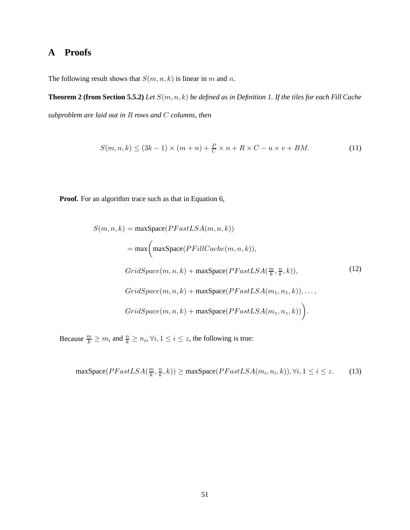## **A Proofs**

The following result shows that  $S(m, n, k)$  is linear in m and n.

**Theorem 2 (from Section 5.5.2)** *Let* S(m, n, k) *be defined as in Definition 1. If the tiles for each Fill Cache subproblem are laid out in* R *rows and* C *columns, then*

$$
S(m, n, k) \le (3k - 1) \times (m + n) + \frac{P}{C} \times n + R \times C - u \times v + BM.
$$
 (11)

**Proof.** For an algorithm trace such as that in Equation 6,

$$
S(m, n, k) = \max \text{Space}(PFastLSA(m, n, k))
$$
  
= max  $\left(\max \text{Space}(PFillCache(m, n, k)),\right)$   
GridSpace(m, n, k) + maxSpace(PFastLSA( $\frac{m}{k}, \frac{n}{k}, k$ )),  
GridSpace(m, n, k) + maxSpace(PFastLSA(m<sub>1</sub>, n<sub>1</sub>, k)),...,  
GridSpace(m, n, k) + maxSpace(PFastLSA(m<sub>z</sub>, n<sub>z</sub>, k))\right).

Because  $\frac{m}{k} \ge m_i$  and  $\frac{n}{k} \ge n_i$ ,  $\forall i, 1 \le i \le z$ , the following is true:

$$
\maxspace(PFastLSA(\frac{m}{k}, \frac{n}{k}, k)) \ge \maxspace(PFastLSA(m_i, n_i, k)), \forall i, 1 \le i \le z. \tag{13}
$$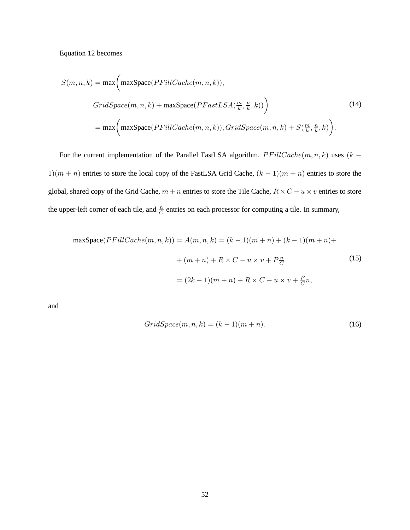Equation 12 becomes

$$
S(m, n, k) = \max\left(\max \text{Space}(PFillCache(m, n, k)),\right)
$$

$$
GridSpace(m, n, k) + \max \text{Space}(PFastLSA(\frac{m}{k}, \frac{n}{k}, k))\right)
$$

$$
= \max\left(\max \text{Space}(PFillCache(m, n, k)), GridSpace(m, n, k) + S(\frac{m}{k}, \frac{n}{k}, k)\right).
$$
(14)

For the current implementation of the Parallel FastLSA algorithm,  $PFillCache(m, n, k)$  uses (k –  $1)(m + n)$  entries to store the local copy of the FastLSA Grid Cache,  $(k - 1)(m + n)$  entries to store the global, shared copy of the Grid Cache,  $m + n$  entries to store the Tile Cache,  $R \times C - u \times v$  entries to store the upper-left corner of each tile, and  $\frac{n}{C}$  entries on each processor for computing a tile. In summary,

$$
\max \text{Space}(PFillCache(m,n,k)) = A(m,n,k) = (k-1)(m+n) + (k-1)(m+n) + (m+n) + R \times C - u \times v + P_{\overline{C}}^{n}
$$
\n
$$
= (2k-1)(m+n) + R \times C - u \times v + P_{\overline{C}}^{n},
$$
\n
$$
(15)
$$

and

$$
GridSpace(m, n, k) = (k-1)(m+n).
$$
\n(16)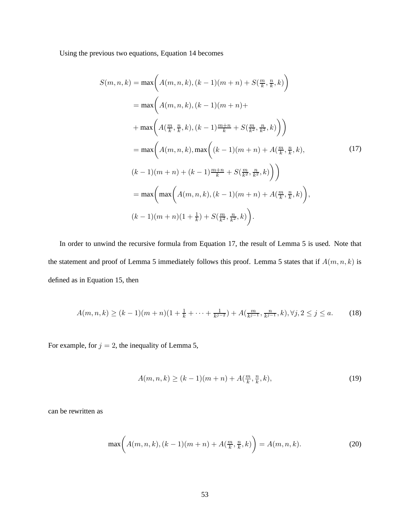Using the previous two equations, Equation 14 becomes

$$
S(m, n, k) = \max \left( A(m, n, k), (k - 1)(m + n) + S(\frac{m}{k}, \frac{n}{k}, k) \right)
$$
  
\n
$$
= \max \left( A(m, n, k), (k - 1)(m + n) +
$$
  
\n
$$
+ \max \left( A(\frac{m}{k}, \frac{n}{k}, k), (k - 1)\frac{m + n}{k} + S(\frac{m}{k^2}, \frac{n}{k^2}, k) \right) \right)
$$
  
\n
$$
= \max \left( A(m, n, k), \max \left( (k - 1)(m + n) + A(\frac{m}{k}, \frac{n}{k}, k), (17) \right)
$$
  
\n
$$
(k - 1)(m + n) + (k - 1)\frac{m + n}{k} + S(\frac{m}{k^2}, \frac{n}{k^2}, k) \right)
$$
  
\n
$$
= \max \left( \max \left( A(m, n, k), (k - 1)(m + n) + A(\frac{m}{k}, \frac{n}{k}, k) \right), (k - 1)(m + n)(1 + \frac{1}{k}) + S(\frac{m}{k^2}, \frac{n}{k^2}, k) \right).
$$

In order to unwind the recursive formula from Equation 17, the result of Lemma 5 is used. Note that the statement and proof of Lemma 5 immediately follows this proof. Lemma 5 states that if  $A(m, n, k)$  is defined as in Equation 15, then

$$
A(m, n, k) \ge (k - 1)(m + n)(1 + \frac{1}{k} + \dots + \frac{1}{k^{j-2}}) + A(\frac{m}{k^{j-1}}, \frac{n}{k^{j-1}}, k), \forall j, 2 \le j \le a.
$$
 (18)

For example, for  $j = 2$ , the inequality of Lemma 5,

$$
A(m, n, k) \ge (k - 1)(m + n) + A(\frac{m}{k}, \frac{n}{k}, k),
$$
\n(19)

can be rewritten as

$$
\max\left(A(m, n, k), (k-1)(m+n) + A(\frac{m}{k}, \frac{n}{k}, k)\right) = A(m, n, k). \tag{20}
$$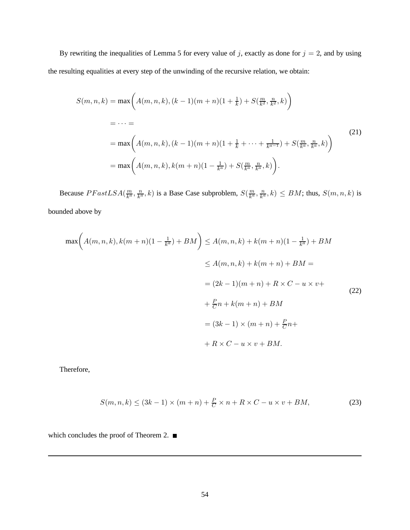By rewriting the inequalities of Lemma 5 for every value of j, exactly as done for  $j = 2$ , and by using the resulting equalities at every step of the unwinding of the recursive relation, we obtain:

$$
S(m, n, k) = \max \left( A(m, n, k), (k - 1)(m + n)(1 + \frac{1}{k}) + S(\frac{m}{k^2}, \frac{n}{k^2}, k) \right)
$$
  
= ... =  
= max \left( A(m, n, k), (k - 1)(m + n)(1 + \frac{1}{k} + \dots + \frac{1}{k^{d-1}}) + S(\frac{m}{k^a}, \frac{n}{k^a}, k) \right)  
= max \left( A(m, n, k), k(m + n)(1 - \frac{1}{k^a}) + S(\frac{m}{k^a}, \frac{n}{k^a}, k) \right). (21)

Because  $PFastLSA(\frac{m}{k^a})$  $\frac{m}{k^a}, \frac{n}{k^c}$  $\frac{n}{k^a}$ , k) is a Base Case subproblem,  $S(\frac{m}{k^a})$  $\frac{m}{k^a}, \frac{n}{k^c}$  $\frac{n}{k^a}, k) \le BM$ ; thus,  $S(m, n, k)$  is bounded above by

$$
\max\left(A(m, n, k), k(m+n)(1 - \frac{1}{k^a}) + BM\right) \le A(m, n, k) + k(m+n)(1 - \frac{1}{k^a}) + BM
$$
  
\n
$$
\le A(m, n, k) + k(m+n) + BM =
$$
  
\n
$$
= (2k - 1)(m+n) + R \times C - u \times v +
$$
  
\n
$$
+ \frac{P}{C}n + k(m+n) + BM
$$
  
\n
$$
= (3k - 1) \times (m+n) + \frac{P}{C}n +
$$
  
\n
$$
+ R \times C - u \times v + BM.
$$

Therefore,

$$
S(m, n, k) \le (3k - 1) \times (m + n) + \frac{P}{C} \times n + R \times C - u \times v + BM,
$$
\n(23)

which concludes the proof of Theorem 2.  $\blacksquare$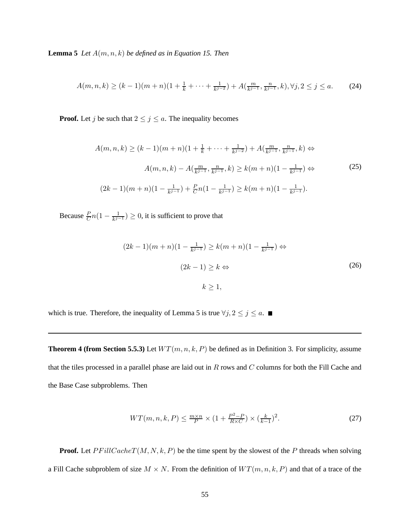**Lemma 5** *Let* A(m, n, k) *be defined as in Equation 15. Then*

$$
A(m, n, k) \ge (k - 1)(m + n)(1 + \frac{1}{k} + \dots + \frac{1}{k^{j-2}}) + A(\frac{m}{k^{j-1}}, \frac{n}{k^{j-1}}, k), \forall j, 2 \le j \le a.
$$
 (24)

**Proof.** Let j be such that  $2 \leq j \leq a$ . The inequality becomes

$$
A(m, n, k) \ge (k - 1)(m + n)(1 + \frac{1}{k} + \dots + \frac{1}{k^{j-2}}) + A(\frac{m}{k^{j-1}}, \frac{n}{k^{j-1}}, k) \Leftrightarrow
$$
  

$$
A(m, n, k) - A(\frac{m}{k^{j-1}}, \frac{n}{k^{j-1}}, k) \ge k(m + n)(1 - \frac{1}{k^{j-1}}) \Leftrightarrow
$$
  

$$
(2k - 1)(m + n)(1 - \frac{1}{k^{j-1}}) + \frac{P}{C}n(1 - \frac{1}{k^{j-1}}) \ge k(m + n)(1 - \frac{1}{k^{j-1}}).
$$
 (25)

Because  $\frac{P}{C}n(1-\frac{1}{k^{j-1}}) \geq 0$ , it is sufficient to prove that

$$
(2k-1)(m+n)(1-\frac{1}{k^{j-1}}) \ge k(m+n)(1-\frac{1}{k^{j-1}}) \Leftrightarrow
$$
  

$$
(2k-1) \ge k \Leftrightarrow
$$
  

$$
k \ge 1,
$$
 (26)

which is true. Therefore, the inequality of Lemma 5 is true  $\forall j, 2 \leq j \leq a$ .

**Theorem 4 (from Section 5.5.3)** Let  $WT(m, n, k, P)$  be defined as in Definition 3. For simplicity, assume that the tiles processed in a parallel phase are laid out in  $R$  rows and  $C$  columns for both the Fill Cache and the Base Case subproblems. Then

$$
WT(m, n, k, P) \le \frac{m \times n}{P} \times (1 + \frac{P^2 - P}{R \times C}) \times (\frac{k}{k - 1})^2.
$$
 (27)

**Proof.** Let  $PFillCacheT(M, N, k, P)$  be the time spent by the slowest of the P threads when solving a Fill Cache subproblem of size  $M \times N$ . From the definition of  $WT(m, n, k, P)$  and that of a trace of the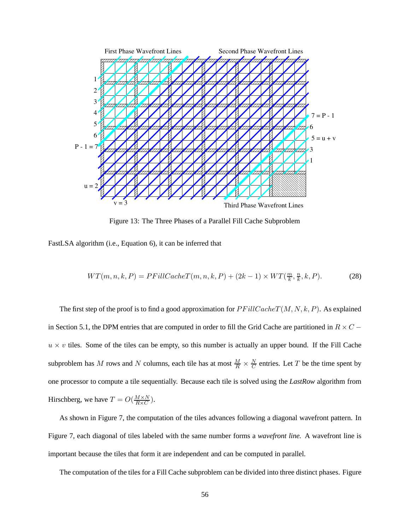

Figure 13: The Three Phases of a Parallel Fill Cache Subproblem

FastLSA algorithm (i.e., Equation 6), it can be inferred that

$$
WT(m, n, k, P) = PFillCacheT(m, n, k, P) + (2k - 1) \times WT(\frac{m}{k}, \frac{n}{k}, k, P). \tag{28}
$$

The first step of the proof is to find a good approximation for  $PFillCacheT(M, N, k, P)$ . As explained in Section 5.1, the DPM entries that are computed in order to fill the Grid Cache are partitioned in  $R \times C$  $u \times v$  tiles. Some of the tiles can be empty, so this number is actually an upper bound. If the Fill Cache subproblem has M rows and N columns, each tile has at most  $\frac{M}{R} \times \frac{N}{C}$  $\frac{N}{C}$  entries. Let T be the time spent by one processor to compute a tile sequentially. Because each tile is solved using the *LastRow* algorithm from Hirschberg, we have  $T = O(\frac{M \times N}{B \times C})$  $\frac{M\times N}{R\times C}$ ).

As shown in Figure 7, the computation of the tiles advances following a diagonal wavefront pattern. In Figure 7, each diagonal of tiles labeled with the same number forms a *wavefront line.* A wavefront line is important because the tiles that form it are independent and can be computed in parallel.

The computation of the tiles for a Fill Cache subproblem can be divided into three distinct phases. Figure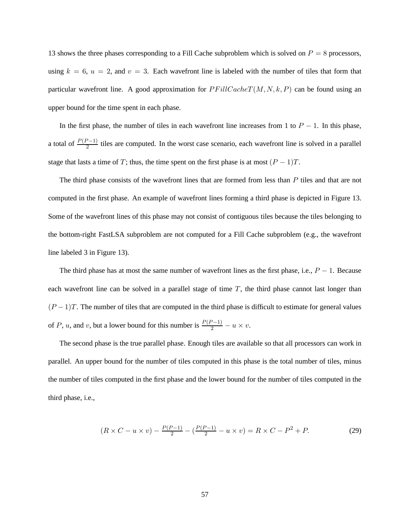13 shows the three phases corresponding to a Fill Cache subproblem which is solved on  $P = 8$  processors, using  $k = 6$ ,  $u = 2$ , and  $v = 3$ . Each wavefront line is labeled with the number of tiles that form that particular wavefront line. A good approximation for  $PFillCacheT(M, N, k, P)$  can be found using an upper bound for the time spent in each phase.

In the first phase, the number of tiles in each wavefront line increases from 1 to  $P - 1$ . In this phase, a total of  $\frac{P(P-1)}{2}$  tiles are computed. In the worst case scenario, each wavefront line is solved in a parallel stage that lasts a time of T; thus, the time spent on the first phase is at most  $(P - 1)T$ .

The third phase consists of the wavefront lines that are formed from less than P tiles and that are not computed in the first phase. An example of wavefront lines forming a third phase is depicted in Figure 13. Some of the wavefront lines of this phase may not consist of contiguous tiles because the tiles belonging to the bottom-right FastLSA subproblem are not computed for a Fill Cache subproblem (e.g., the wavefront line labeled 3 in Figure 13).

The third phase has at most the same number of wavefront lines as the first phase, i.e.,  $P - 1$ . Because each wavefront line can be solved in a parallel stage of time  $T$ , the third phase cannot last longer than  $(P-1)T$ . The number of tiles that are computed in the third phase is difficult to estimate for general values of P, u, and v, but a lower bound for this number is  $\frac{P(P-1)}{2} - u \times v$ .

The second phase is the true parallel phase. Enough tiles are available so that all processors can work in parallel. An upper bound for the number of tiles computed in this phase is the total number of tiles, minus the number of tiles computed in the first phase and the lower bound for the number of tiles computed in the third phase, i.e.,

$$
(R \times C - u \times v) - \frac{P(P-1)}{2} - (\frac{P(P-1)}{2} - u \times v) = R \times C - P^2 + P.
$$
 (29)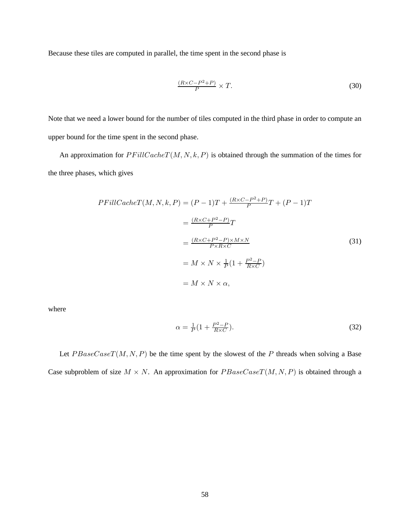Because these tiles are computed in parallel, the time spent in the second phase is

$$
\frac{(R \times C - P^2 + P)}{P} \times T.
$$
\n(30)

Note that we need a lower bound for the number of tiles computed in the third phase in order to compute an upper bound for the time spent in the second phase.

An approximation for  $PFillCacheT(M, N, k, P)$  is obtained through the summation of the times for the three phases, which gives

$$
PFillCacheT(M, N, k, P) = (P - 1)T + \frac{(R \times C - P^2 + P)}{P}T + (P - 1)T
$$

$$
= \frac{(R \times C + P^2 - P)}{P}T
$$

$$
= \frac{(R \times C + P^2 - P) \times M \times N}{P \times R \times C}
$$
(31)
$$
= M \times N \times \frac{1}{P} (1 + \frac{P^2 - P}{R \times C})
$$

$$
= M \times N \times \alpha,
$$

where

$$
\alpha = \frac{1}{P} \left( 1 + \frac{P^2 - P}{R \times C} \right). \tag{32}
$$

Let  $PBaseCaseT(M, N, P)$  be the time spent by the slowest of the P threads when solving a Base Case subproblem of size  $M \times N$ . An approximation for  $PBaseCaseT(M, N, P)$  is obtained through a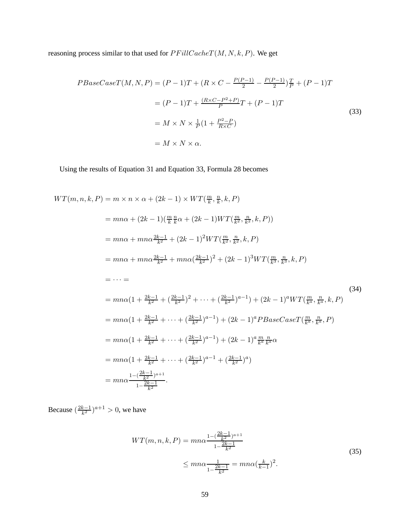reasoning process similar to that used for  $PFillCacheT(M,N,k,P).$  We get

$$
PBaseCaseT(M, N, P) = (P - 1)T + (R \times C - \frac{P(P-1)}{2} - \frac{P(P-1)}{2})\frac{T}{P} + (P - 1)T
$$
  
=  $(P - 1)T + \frac{(R \times C - P^2 + P)}{P}T + (P - 1)T$   
=  $M \times N \times \frac{1}{P}(1 + \frac{P^2 - P}{R \times C})$   
=  $M \times N \times \alpha$ . (33)

Using the results of Equation 31 and Equation 33, Formula 28 becomes

$$
WT(m, n, k, P) = m \times n \times \alpha + (2k - 1) \times WT(\frac{m}{k}, \frac{n}{k}, k, P)
$$
  
\n
$$
= mn\alpha + (2k - 1)(\frac{m}{k}\frac{n}{k}\alpha + (2k - 1)WT(\frac{m}{k^2}, \frac{n}{k^2}, k, P))
$$
  
\n
$$
= mn\alpha + mn\alpha \frac{2k-1}{k^2} + (2k - 1)^2 WT(\frac{m}{k^2}, \frac{n}{k^2}, k, P)
$$
  
\n
$$
= mn\alpha + mn\alpha \frac{2k-1}{k^2} + mn\alpha \frac{(2k-1)}{k^2})^2 + (2k - 1)^3 WT(\frac{m}{k^3}, \frac{n}{k^3}, k, P)
$$
  
\n
$$
= \cdots =
$$
  
\n
$$
= mn\alpha \left(1 + \frac{2k-1}{k^2} + (\frac{2k-1}{k^2})^2 + \cdots + (\frac{2k-1}{k^2})^{a-1}\right) + (2k - 1)^a WT(\frac{m}{k^a}, \frac{n}{k^a}, k, P)
$$
  
\n
$$
= mn\alpha \left(1 + \frac{2k-1}{k^2} + \cdots + (\frac{2k-1}{k^2})^{a-1}\right) + (2k - 1)^a PBaseCaseT(\frac{m}{k^a}, \frac{n}{k^a}, P)
$$
  
\n
$$
= mn\alpha \left(1 + \frac{2k-1}{k^2} + \cdots + (\frac{2k-1}{k^2})^{a-1}\right) + (2k - 1)^a \frac{m}{k^a} \frac{n}{k^a} \alpha
$$
  
\n
$$
= mn\alpha \left(1 + \frac{2k-1}{k^2} + \cdots + (\frac{2k-1}{k^2})^{a-1} + (\frac{2k-1}{k^2})^a\right)
$$
  
\n
$$
= mn\alpha \frac{1-(\frac{2k-1}{k^2})^{a+1}}{1-\frac{2k-1}{k^2}}.
$$
 (34)

Because  $\left(\frac{2k-1}{k^2}\right)^{a+1} > 0$ , we have

$$
WT(m, n, k, P) = mn\alpha \frac{1 - \left(\frac{2k-1}{k^2}\right)^{a+1}}{1 - \frac{2k-1}{k^2}}
$$
  

$$
\leq mn\alpha \frac{1}{1 - \frac{2k-1}{k^2}} = mn\alpha \left(\frac{k}{k-1}\right)^2.
$$
 (35)